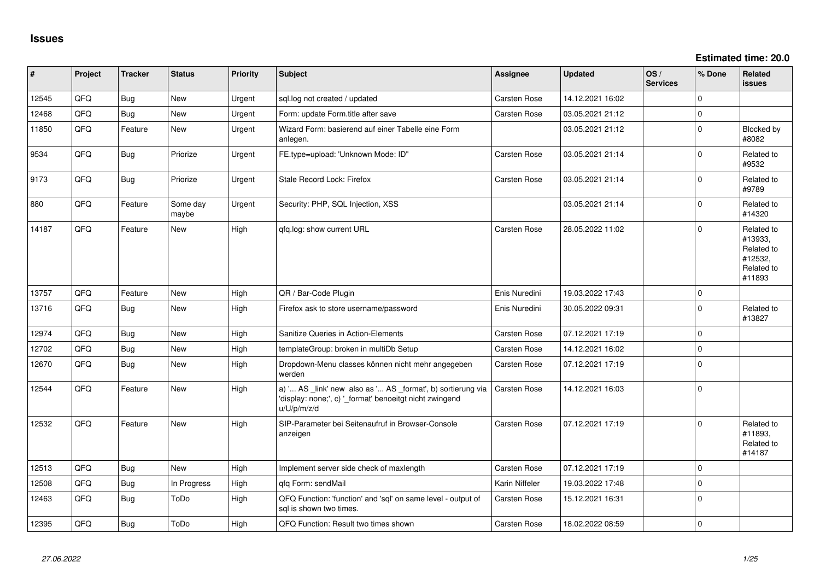**Estimated time: 20.0**

| #     | Project | <b>Tracker</b> | <b>Status</b>     | Priority | Subject                                                                                                                               | <b>Assignee</b>     | <b>Updated</b>   | OS/<br><b>Services</b> | % Done      | <b>Related</b><br><b>issues</b>                                        |
|-------|---------|----------------|-------------------|----------|---------------------------------------------------------------------------------------------------------------------------------------|---------------------|------------------|------------------------|-------------|------------------------------------------------------------------------|
| 12545 | QFQ     | Bug            | New               | Urgent   | sql.log not created / updated                                                                                                         | Carsten Rose        | 14.12.2021 16:02 |                        | $\Omega$    |                                                                        |
| 12468 | QFQ     | Bug            | <b>New</b>        | Urgent   | Form: update Form.title after save                                                                                                    | <b>Carsten Rose</b> | 03.05.2021 21:12 |                        | $\mathbf 0$ |                                                                        |
| 11850 | QFQ     | Feature        | New               | Urgent   | Wizard Form: basierend auf einer Tabelle eine Form<br>anlegen.                                                                        |                     | 03.05.2021 21:12 |                        | $\mathbf 0$ | Blocked by<br>#8082                                                    |
| 9534  | QFQ     | Bug            | Priorize          | Urgent   | FE.type=upload: 'Unknown Mode: ID"                                                                                                    | Carsten Rose        | 03.05.2021 21:14 |                        | $\mathbf 0$ | Related to<br>#9532                                                    |
| 9173  | QFQ     | Bug            | Priorize          | Urgent   | Stale Record Lock: Firefox                                                                                                            | Carsten Rose        | 03.05.2021 21:14 |                        | $\mathbf 0$ | Related to<br>#9789                                                    |
| 880   | QFQ     | Feature        | Some day<br>maybe | Urgent   | Security: PHP, SQL Injection, XSS                                                                                                     |                     | 03.05.2021 21:14 |                        | $\mathbf 0$ | Related to<br>#14320                                                   |
| 14187 | QFQ     | Feature        | <b>New</b>        | High     | qfq.log: show current URL                                                                                                             | Carsten Rose        | 28.05.2022 11:02 |                        | $\Omega$    | Related to<br>#13933,<br>Related to<br>#12532,<br>Related to<br>#11893 |
| 13757 | QFQ     | Feature        | <b>New</b>        | High     | QR / Bar-Code Plugin                                                                                                                  | Enis Nuredini       | 19.03.2022 17:43 |                        | $\mathbf 0$ |                                                                        |
| 13716 | QFQ     | Bug            | <b>New</b>        | High     | Firefox ask to store username/password                                                                                                | Enis Nuredini       | 30.05.2022 09:31 |                        | $\mathbf 0$ | Related to<br>#13827                                                   |
| 12974 | QFQ     | <b>Bug</b>     | <b>New</b>        | High     | Sanitize Queries in Action-Elements                                                                                                   | Carsten Rose        | 07.12.2021 17:19 |                        | $\Omega$    |                                                                        |
| 12702 | QFQ     | <b>Bug</b>     | <b>New</b>        | High     | templateGroup: broken in multiDb Setup                                                                                                | Carsten Rose        | 14.12.2021 16:02 |                        | $\mathbf 0$ |                                                                        |
| 12670 | QFQ     | Bug            | <b>New</b>        | High     | Dropdown-Menu classes können nicht mehr angegeben<br>werden                                                                           | Carsten Rose        | 07.12.2021 17:19 |                        | $\mathbf 0$ |                                                                        |
| 12544 | QFQ     | Feature        | <b>New</b>        | High     | a) ' AS _link' new also as ' AS _format', b) sortierung via<br>'display: none;', c) '_format' benoeitgt nicht zwingend<br>u/U/p/m/z/d | Carsten Rose        | 14.12.2021 16:03 |                        | $\mathbf 0$ |                                                                        |
| 12532 | QFQ     | Feature        | <b>New</b>        | High     | SIP-Parameter bei Seitenaufruf in Browser-Console<br>anzeigen                                                                         | Carsten Rose        | 07.12.2021 17:19 |                        | $\mathbf 0$ | Related to<br>#11893,<br>Related to<br>#14187                          |
| 12513 | QFQ     | Bug            | <b>New</b>        | High     | Implement server side check of maxlength                                                                                              | Carsten Rose        | 07.12.2021 17:19 |                        | $\mathbf 0$ |                                                                        |
| 12508 | QFQ     | Bug            | In Progress       | High     | gfg Form: sendMail                                                                                                                    | Karin Niffeler      | 19.03.2022 17:48 |                        | $\mathbf 0$ |                                                                        |
| 12463 | QFQ     | <b>Bug</b>     | ToDo              | High     | QFQ Function: 'function' and 'sql' on same level - output of<br>sal is shown two times.                                               | <b>Carsten Rose</b> | 15.12.2021 16:31 |                        | $\mathbf 0$ |                                                                        |
| 12395 | QFQ     | Bug            | ToDo              | High     | QFQ Function: Result two times shown                                                                                                  | Carsten Rose        | 18.02.2022 08:59 |                        | $\mathbf 0$ |                                                                        |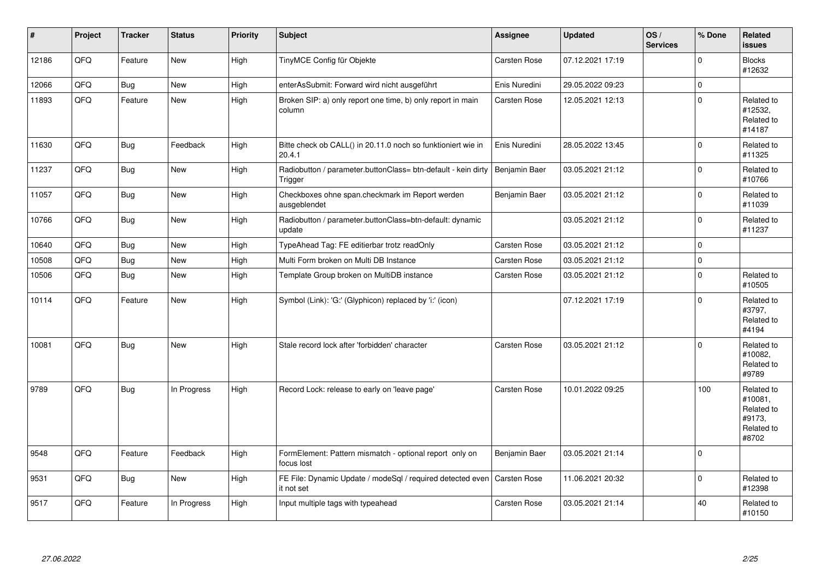| #     | Project | <b>Tracker</b> | <b>Status</b> | Priority | <b>Subject</b>                                                           | Assignee            | <b>Updated</b>   | OS/<br><b>Services</b> | % Done       | <b>Related</b><br><b>issues</b>                                      |
|-------|---------|----------------|---------------|----------|--------------------------------------------------------------------------|---------------------|------------------|------------------------|--------------|----------------------------------------------------------------------|
| 12186 | QFQ     | Feature        | <b>New</b>    | High     | TinyMCE Config für Objekte                                               | Carsten Rose        | 07.12.2021 17:19 |                        | $\mathbf{0}$ | <b>Blocks</b><br>#12632                                              |
| 12066 | QFQ     | Bug            | New           | High     | enterAsSubmit: Forward wird nicht ausgeführt                             | Enis Nuredini       | 29.05.2022 09:23 |                        | $\pmb{0}$    |                                                                      |
| 11893 | QFQ.    | Feature        | <b>New</b>    | High     | Broken SIP: a) only report one time, b) only report in main<br>column    | Carsten Rose        | 12.05.2021 12:13 |                        | $\mathbf{0}$ | Related to<br>#12532,<br>Related to<br>#14187                        |
| 11630 | QFQ     | Bug            | Feedback      | High     | Bitte check ob CALL() in 20.11.0 noch so funktioniert wie in<br>20.4.1   | Enis Nuredini       | 28.05.2022 13:45 |                        | $\mathbf 0$  | Related to<br>#11325                                                 |
| 11237 | QFQ     | <b>Bug</b>     | <b>New</b>    | High     | Radiobutton / parameter.buttonClass= btn-default - kein dirty<br>Trigger | Benjamin Baer       | 03.05.2021 21:12 |                        | $\mathbf 0$  | Related to<br>#10766                                                 |
| 11057 | QFQ     | Bug            | <b>New</b>    | High     | Checkboxes ohne span.checkmark im Report werden<br>ausgeblendet          | Benjamin Baer       | 03.05.2021 21:12 |                        | $\mathbf 0$  | Related to<br>#11039                                                 |
| 10766 | QFQ     | Bug            | <b>New</b>    | High     | Radiobutton / parameter.buttonClass=btn-default: dynamic<br>update       |                     | 03.05.2021 21:12 |                        | $\Omega$     | Related to<br>#11237                                                 |
| 10640 | QFQ     | Bug            | <b>New</b>    | High     | TypeAhead Tag: FE editierbar trotz readOnly                              | <b>Carsten Rose</b> | 03.05.2021 21:12 |                        | $\mathbf 0$  |                                                                      |
| 10508 | QFQ     | Bug            | <b>New</b>    | High     | Multi Form broken on Multi DB Instance                                   | Carsten Rose        | 03.05.2021 21:12 |                        | $\mathbf 0$  |                                                                      |
| 10506 | QFQ     | Bug            | New           | High     | Template Group broken on MultiDB instance                                | Carsten Rose        | 03.05.2021 21:12 |                        | 0            | Related to<br>#10505                                                 |
| 10114 | QFQ     | Feature        | <b>New</b>    | High     | Symbol (Link): 'G:' (Glyphicon) replaced by 'i:' (icon)                  |                     | 07.12.2021 17:19 |                        | $\Omega$     | Related to<br>#3797,<br>Related to<br>#4194                          |
| 10081 | QFQ     | Bug            | New           | High     | Stale record lock after 'forbidden' character                            | <b>Carsten Rose</b> | 03.05.2021 21:12 |                        | $\mathbf 0$  | Related to<br>#10082.<br>Related to<br>#9789                         |
| 9789  | QFQ     | Bug            | In Progress   | High     | Record Lock: release to early on 'leave page'                            | Carsten Rose        | 10.01.2022 09:25 |                        | 100          | Related to<br>#10081.<br>Related to<br>#9173.<br>Related to<br>#8702 |
| 9548  | QFQ     | Feature        | Feedback      | High     | FormElement: Pattern mismatch - optional report only on<br>focus lost    | Benjamin Baer       | 03.05.2021 21:14 |                        | $\mathbf 0$  |                                                                      |
| 9531  | QFQ     | Bug            | New           | High     | FE File: Dynamic Update / modeSql / required detected even<br>it not set | Carsten Rose        | 11.06.2021 20:32 |                        | $\mathbf 0$  | Related to<br>#12398                                                 |
| 9517  | QFQ     | Feature        | In Progress   | High     | Input multiple tags with typeahead                                       | Carsten Rose        | 03.05.2021 21:14 |                        | 40           | Related to<br>#10150                                                 |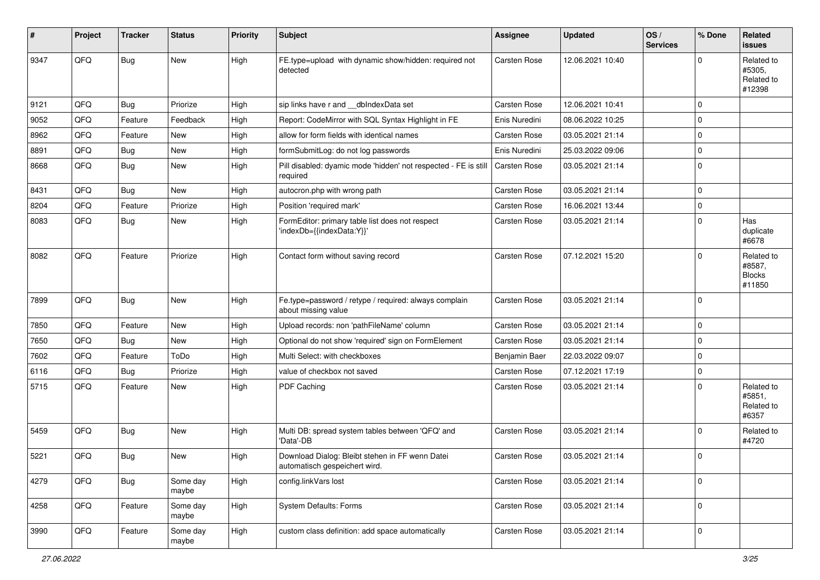| #    | Project | <b>Tracker</b> | <b>Status</b>     | <b>Priority</b> | <b>Subject</b>                                                                   | <b>Assignee</b>     | <b>Updated</b>   | OS/<br><b>Services</b> | % Done      | Related<br><b>issues</b>                        |
|------|---------|----------------|-------------------|-----------------|----------------------------------------------------------------------------------|---------------------|------------------|------------------------|-------------|-------------------------------------------------|
| 9347 | QFQ     | Bug            | <b>New</b>        | High            | FE.type=upload with dynamic show/hidden: required not<br>detected                | <b>Carsten Rose</b> | 12.06.2021 10:40 |                        | $\Omega$    | Related to<br>#5305,<br>Related to<br>#12398    |
| 9121 | QFQ     | Bug            | Priorize          | High            | sip links have r and __dbIndexData set                                           | Carsten Rose        | 12.06.2021 10:41 |                        | $\mathbf 0$ |                                                 |
| 9052 | QFQ     | Feature        | Feedback          | High            | Report: CodeMirror with SQL Syntax Highlight in FE                               | Enis Nuredini       | 08.06.2022 10:25 |                        | $\mathbf 0$ |                                                 |
| 8962 | QFQ     | Feature        | <b>New</b>        | High            | allow for form fields with identical names                                       | <b>Carsten Rose</b> | 03.05.2021 21:14 |                        | $\mathbf 0$ |                                                 |
| 8891 | QFQ     | Bug            | <b>New</b>        | High            | formSubmitLog: do not log passwords                                              | Enis Nuredini       | 25.03.2022 09:06 |                        | $\mathbf 0$ |                                                 |
| 8668 | QFQ     | Bug            | New               | High            | Pill disabled: dyamic mode 'hidden' not respected - FE is still<br>required      | Carsten Rose        | 03.05.2021 21:14 |                        | $\mathbf 0$ |                                                 |
| 8431 | QFQ     | Bug            | <b>New</b>        | High            | autocron.php with wrong path                                                     | Carsten Rose        | 03.05.2021 21:14 |                        | $\mathbf 0$ |                                                 |
| 8204 | QFQ     | Feature        | Priorize          | High            | Position 'required mark'                                                         | Carsten Rose        | 16.06.2021 13:44 |                        | $\mathbf 0$ |                                                 |
| 8083 | QFQ     | Bug            | <b>New</b>        | High            | FormEditor: primary table list does not respect<br>'indexDb={{indexData:Y}}'     | Carsten Rose        | 03.05.2021 21:14 |                        | $\Omega$    | Has<br>duplicate<br>#6678                       |
| 8082 | QFQ     | Feature        | Priorize          | High            | Contact form without saving record                                               | <b>Carsten Rose</b> | 07.12.2021 15:20 |                        | $\Omega$    | Related to<br>#8587,<br><b>Blocks</b><br>#11850 |
| 7899 | QFQ     | Bug            | <b>New</b>        | High            | Fe.type=password / retype / required: always complain<br>about missing value     | Carsten Rose        | 03.05.2021 21:14 |                        | $\mathbf 0$ |                                                 |
| 7850 | QFQ     | Feature        | <b>New</b>        | High            | Upload records: non 'pathFileName' column                                        | Carsten Rose        | 03.05.2021 21:14 |                        | $\mathbf 0$ |                                                 |
| 7650 | QFQ     | Bug            | <b>New</b>        | High            | Optional do not show 'required' sign on FormElement                              | Carsten Rose        | 03.05.2021 21:14 |                        | $\mathbf 0$ |                                                 |
| 7602 | QFQ     | Feature        | ToDo              | High            | Multi Select: with checkboxes                                                    | Benjamin Baer       | 22.03.2022 09:07 |                        | $\mathbf 0$ |                                                 |
| 6116 | QFQ     | <b>Bug</b>     | Priorize          | High            | value of checkbox not saved                                                      | Carsten Rose        | 07.12.2021 17:19 |                        | $\mathbf 0$ |                                                 |
| 5715 | QFQ     | Feature        | New               | High            | PDF Caching                                                                      | Carsten Rose        | 03.05.2021 21:14 |                        | $\Omega$    | Related to<br>#5851.<br>Related to<br>#6357     |
| 5459 | QFQ     | <b>Bug</b>     | <b>New</b>        | High            | Multi DB: spread system tables between 'QFQ' and<br>'Data'-DB                    | <b>Carsten Rose</b> | 03.05.2021 21:14 |                        | 0           | Related to<br>#4720                             |
| 5221 | QFQ     | Bug            | <b>New</b>        | High            | Download Dialog: Bleibt stehen in FF wenn Datei<br>automatisch gespeichert wird. | Carsten Rose        | 03.05.2021 21:14 |                        | 0           |                                                 |
| 4279 | QFQ     | <b>Bug</b>     | Some day<br>maybe | High            | config.linkVars lost                                                             | <b>Carsten Rose</b> | 03.05.2021 21:14 |                        | $\mathbf 0$ |                                                 |
| 4258 | QFQ     | Feature        | Some day<br>maybe | High            | System Defaults: Forms                                                           | Carsten Rose        | 03.05.2021 21:14 |                        | $\mathbf 0$ |                                                 |
| 3990 | QFQ     | Feature        | Some day<br>maybe | High            | custom class definition: add space automatically                                 | Carsten Rose        | 03.05.2021 21:14 |                        | $\mathbf 0$ |                                                 |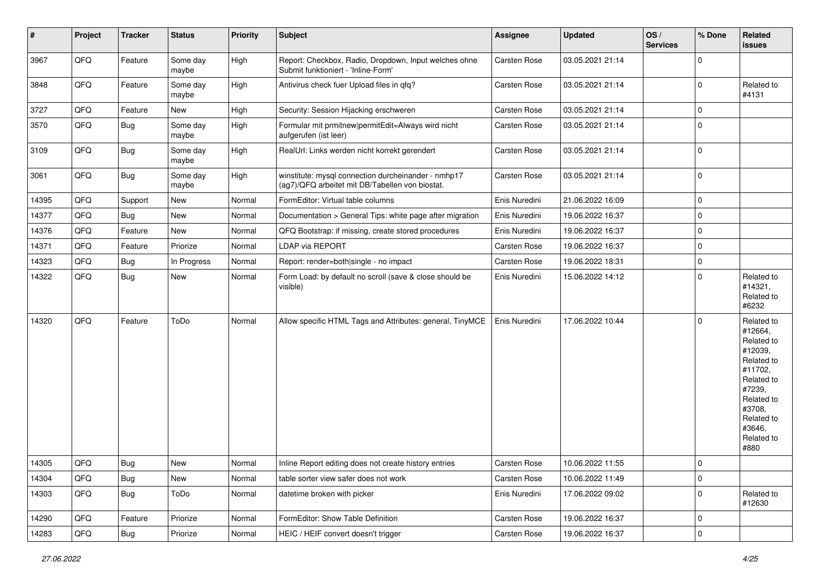| #     | Project | <b>Tracker</b> | <b>Status</b>     | <b>Priority</b> | Subject                                                                                                | <b>Assignee</b> | <b>Updated</b>   | OS/<br><b>Services</b> | % Done      | Related<br><b>issues</b>                                                                                                                                              |
|-------|---------|----------------|-------------------|-----------------|--------------------------------------------------------------------------------------------------------|-----------------|------------------|------------------------|-------------|-----------------------------------------------------------------------------------------------------------------------------------------------------------------------|
| 3967  | QFQ     | Feature        | Some day<br>maybe | High            | Report: Checkbox, Radio, Dropdown, Input welches ohne<br>Submit funktioniert - 'Inline-Form'           | Carsten Rose    | 03.05.2021 21:14 |                        | $\mathbf 0$ |                                                                                                                                                                       |
| 3848  | QFQ     | Feature        | Some day<br>maybe | High            | Antivirus check fuer Upload files in qfq?                                                              | Carsten Rose    | 03.05.2021 21:14 |                        | $\mathbf 0$ | Related to<br>#4131                                                                                                                                                   |
| 3727  | QFQ     | Feature        | New               | High            | Security: Session Hijacking erschweren                                                                 | Carsten Rose    | 03.05.2021 21:14 |                        | $\mathbf 0$ |                                                                                                                                                                       |
| 3570  | QFQ     | Bug            | Some day<br>maybe | High            | Formular mit prmitnew permitEdit=Always wird nicht<br>aufgerufen (ist leer)                            | Carsten Rose    | 03.05.2021 21:14 |                        | $\mathbf 0$ |                                                                                                                                                                       |
| 3109  | QFQ     | <b>Bug</b>     | Some day<br>maybe | High            | RealUrl: Links werden nicht korrekt gerendert                                                          | Carsten Rose    | 03.05.2021 21:14 |                        | $\mathbf 0$ |                                                                                                                                                                       |
| 3061  | QFQ     | <b>Bug</b>     | Some day<br>maybe | High            | winstitute: mysql connection durcheinander - nmhp17<br>(ag7)/QFQ arbeitet mit DB/Tabellen von biostat. | Carsten Rose    | 03.05.2021 21:14 |                        | $\mathbf 0$ |                                                                                                                                                                       |
| 14395 | QFQ     | Support        | <b>New</b>        | Normal          | FormEditor: Virtual table columns                                                                      | Enis Nuredini   | 21.06.2022 16:09 |                        | $\mathbf 0$ |                                                                                                                                                                       |
| 14377 | QFQ     | <b>Bug</b>     | New               | Normal          | Documentation > General Tips: white page after migration                                               | Enis Nuredini   | 19.06.2022 16:37 |                        | $\mathbf 0$ |                                                                                                                                                                       |
| 14376 | QFQ     | Feature        | New               | Normal          | QFQ Bootstrap: if missing, create stored procedures                                                    | Enis Nuredini   | 19.06.2022 16:37 |                        | $\mathbf 0$ |                                                                                                                                                                       |
| 14371 | QFQ     | Feature        | Priorize          | Normal          | LDAP via REPORT                                                                                        | Carsten Rose    | 19.06.2022 16:37 |                        | $\mathbf 0$ |                                                                                                                                                                       |
| 14323 | QFQ     | <b>Bug</b>     | In Progress       | Normal          | Report: render=both single - no impact                                                                 | Carsten Rose    | 19.06.2022 18:31 |                        | $\mathbf 0$ |                                                                                                                                                                       |
| 14322 | QFQ     | <b>Bug</b>     | New               | Normal          | Form Load: by default no scroll (save & close should be<br>visible)                                    | Enis Nuredini   | 15.06.2022 14:12 |                        | $\mathbf 0$ | Related to<br>#14321,<br>Related to<br>#6232                                                                                                                          |
| 14320 | QFQ     | Feature        | ToDo              | Normal          | Allow specific HTML Tags and Attributes: general, TinyMCE                                              | Enis Nuredini   | 17.06.2022 10:44 |                        | $\mathbf 0$ | Related to<br>#12664,<br>Related to<br>#12039,<br>Related to<br>#11702,<br>Related to<br>#7239,<br>Related to<br>#3708,<br>Related to<br>#3646,<br>Related to<br>#880 |
| 14305 | QFQ     | Bug            | New               | Normal          | Inline Report editing does not create history entries                                                  | Carsten Rose    | 10.06.2022 11:55 |                        | $\pmb{0}$   |                                                                                                                                                                       |
| 14304 | QFQ     | <b>Bug</b>     | New               | Normal          | table sorter view safer does not work                                                                  | Carsten Rose    | 10.06.2022 11:49 |                        | $\mathbf 0$ |                                                                                                                                                                       |
| 14303 | QFQ     | Bug            | ToDo              | Normal          | datetime broken with picker                                                                            | Enis Nuredini   | 17.06.2022 09:02 |                        | $\mathbf 0$ | Related to<br>#12630                                                                                                                                                  |
| 14290 | QFQ     | Feature        | Priorize          | Normal          | FormEditor: Show Table Definition                                                                      | Carsten Rose    | 19.06.2022 16:37 |                        | $\mathbf 0$ |                                                                                                                                                                       |
| 14283 | QFQ     | <b>Bug</b>     | Priorize          | Normal          | HEIC / HEIF convert doesn't trigger                                                                    | Carsten Rose    | 19.06.2022 16:37 |                        | $\mathsf 0$ |                                                                                                                                                                       |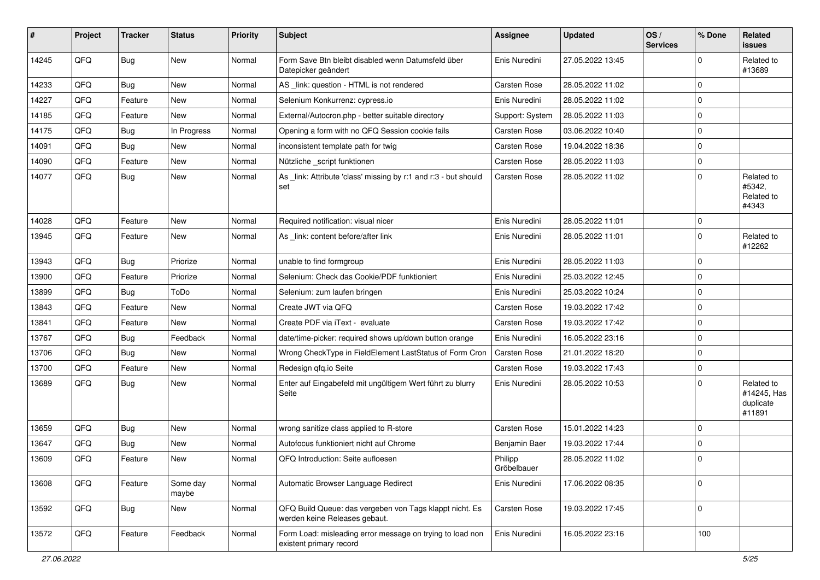| #     | Project | <b>Tracker</b> | <b>Status</b>     | <b>Priority</b> | Subject                                                                                  | <b>Assignee</b>        | <b>Updated</b>   | OS/<br><b>Services</b> | % Done      | Related<br><b>issues</b>                         |
|-------|---------|----------------|-------------------|-----------------|------------------------------------------------------------------------------------------|------------------------|------------------|------------------------|-------------|--------------------------------------------------|
| 14245 | QFQ     | Bug            | New               | Normal          | Form Save Btn bleibt disabled wenn Datumsfeld über<br>Datepicker geändert                | Enis Nuredini          | 27.05.2022 13:45 |                        | $\Omega$    | Related to<br>#13689                             |
| 14233 | QFQ     | <b>Bug</b>     | New               | Normal          | AS _link: question - HTML is not rendered                                                | <b>Carsten Rose</b>    | 28.05.2022 11:02 |                        | 0           |                                                  |
| 14227 | QFQ     | Feature        | New               | Normal          | Selenium Konkurrenz: cypress.io                                                          | Enis Nuredini          | 28.05.2022 11:02 |                        | $\mathbf 0$ |                                                  |
| 14185 | QFQ     | Feature        | New               | Normal          | External/Autocron.php - better suitable directory                                        | Support: System        | 28.05.2022 11:03 |                        | 0           |                                                  |
| 14175 | QFQ     | <b>Bug</b>     | In Progress       | Normal          | Opening a form with no QFQ Session cookie fails                                          | Carsten Rose           | 03.06.2022 10:40 |                        | $\mathbf 0$ |                                                  |
| 14091 | QFQ     | Bug            | <b>New</b>        | Normal          | inconsistent template path for twig                                                      | Carsten Rose           | 19.04.2022 18:36 |                        | $\mathbf 0$ |                                                  |
| 14090 | QFQ     | Feature        | New               | Normal          | Nützliche _script funktionen                                                             | Carsten Rose           | 28.05.2022 11:03 |                        | $\mathbf 0$ |                                                  |
| 14077 | QFQ     | <b>Bug</b>     | New               | Normal          | As _link: Attribute 'class' missing by r:1 and r:3 - but should<br>set                   | Carsten Rose           | 28.05.2022 11:02 |                        | 0           | Related to<br>#5342,<br>Related to<br>#4343      |
| 14028 | QFQ     | Feature        | <b>New</b>        | Normal          | Required notification: visual nicer                                                      | Enis Nuredini          | 28.05.2022 11:01 |                        | $\mathbf 0$ |                                                  |
| 13945 | QFQ     | Feature        | <b>New</b>        | Normal          | As link: content before/after link                                                       | Enis Nuredini          | 28.05.2022 11:01 |                        | 0           | Related to<br>#12262                             |
| 13943 | QFQ     | Bug            | Priorize          | Normal          | unable to find formgroup                                                                 | Enis Nuredini          | 28.05.2022 11:03 |                        | 0           |                                                  |
| 13900 | QFQ     | Feature        | Priorize          | Normal          | Selenium: Check das Cookie/PDF funktioniert                                              | Enis Nuredini          | 25.03.2022 12:45 |                        | $\mathbf 0$ |                                                  |
| 13899 | QFQ     | <b>Bug</b>     | ToDo              | Normal          | Selenium: zum laufen bringen                                                             | Enis Nuredini          | 25.03.2022 10:24 |                        | 0           |                                                  |
| 13843 | QFQ     | Feature        | New               | Normal          | Create JWT via QFQ                                                                       | Carsten Rose           | 19.03.2022 17:42 |                        | 0           |                                                  |
| 13841 | QFQ     | Feature        | <b>New</b>        | Normal          | Create PDF via iText - evaluate                                                          | Carsten Rose           | 19.03.2022 17:42 |                        | $\mathbf 0$ |                                                  |
| 13767 | QFQ     | Bug            | Feedback          | Normal          | date/time-picker: required shows up/down button orange                                   | Enis Nuredini          | 16.05.2022 23:16 |                        | $\mathbf 0$ |                                                  |
| 13706 | QFQ     | <b>Bug</b>     | New               | Normal          | Wrong CheckType in FieldElement LastStatus of Form Cron                                  | Carsten Rose           | 21.01.2022 18:20 |                        | 0           |                                                  |
| 13700 | QFQ     | Feature        | New               | Normal          | Redesign qfq.io Seite                                                                    | Carsten Rose           | 19.03.2022 17:43 |                        | $\mathbf 0$ |                                                  |
| 13689 | QFQ     | <b>Bug</b>     | New               | Normal          | Enter auf Eingabefeld mit ungültigem Wert führt zu blurry<br>Seite                       | Enis Nuredini          | 28.05.2022 10:53 |                        | $\Omega$    | Related to<br>#14245, Has<br>duplicate<br>#11891 |
| 13659 | QFQ     | Bug            | New               | Normal          | wrong sanitize class applied to R-store                                                  | <b>Carsten Rose</b>    | 15.01.2022 14:23 |                        | $\mathbf 0$ |                                                  |
| 13647 | QFQ     | <b>Bug</b>     | <b>New</b>        | Normal          | Autofocus funktioniert nicht auf Chrome                                                  | Benjamin Baer          | 19.03.2022 17:44 |                        | 0           |                                                  |
| 13609 | QFQ     | Feature        | New               | Normal          | QFQ Introduction: Seite aufloesen                                                        | Philipp<br>Gröbelbauer | 28.05.2022 11:02 |                        | 0           |                                                  |
| 13608 | QFQ     | Feature        | Some day<br>maybe | Normal          | Automatic Browser Language Redirect                                                      | Enis Nuredini          | 17.06.2022 08:35 |                        | $\mathbf 0$ |                                                  |
| 13592 | QFQ     | <b>Bug</b>     | New               | Normal          | QFQ Build Queue: das vergeben von Tags klappt nicht. Es<br>werden keine Releases gebaut. | Carsten Rose           | 19.03.2022 17:45 |                        | $\mathbf 0$ |                                                  |
| 13572 | QFQ     | Feature        | Feedback          | Normal          | Form Load: misleading error message on trying to load non<br>existent primary record     | Enis Nuredini          | 16.05.2022 23:16 |                        | 100         |                                                  |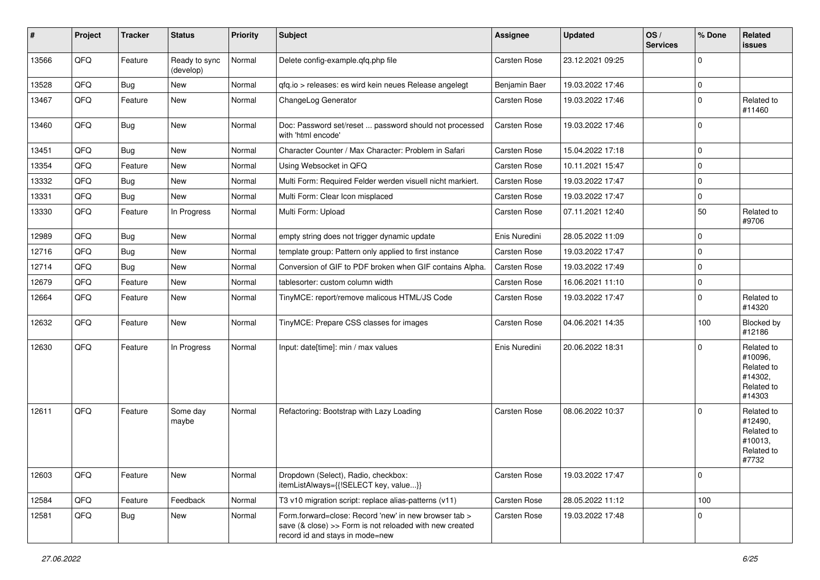| #     | Project | <b>Tracker</b> | <b>Status</b>              | <b>Priority</b> | Subject                                                                                                                                             | <b>Assignee</b>     | <b>Updated</b>   | OS/<br><b>Services</b> | % Done      | Related<br>issues                                                      |
|-------|---------|----------------|----------------------------|-----------------|-----------------------------------------------------------------------------------------------------------------------------------------------------|---------------------|------------------|------------------------|-------------|------------------------------------------------------------------------|
| 13566 | QFQ     | Feature        | Ready to sync<br>(develop) | Normal          | Delete config-example.qfq.php file                                                                                                                  | Carsten Rose        | 23.12.2021 09:25 |                        | $\mathbf 0$ |                                                                        |
| 13528 | QFQ     | Bug            | New                        | Normal          | qfq.io > releases: es wird kein neues Release angelegt                                                                                              | Benjamin Baer       | 19.03.2022 17:46 |                        | $\pmb{0}$   |                                                                        |
| 13467 | QFQ     | Feature        | New                        | Normal          | ChangeLog Generator                                                                                                                                 | Carsten Rose        | 19.03.2022 17:46 |                        | $\mathbf 0$ | Related to<br>#11460                                                   |
| 13460 | QFQ     | Bug            | <b>New</b>                 | Normal          | Doc: Password set/reset  password should not processed<br>with 'html encode'                                                                        | Carsten Rose        | 19.03.2022 17:46 |                        | $\mathbf 0$ |                                                                        |
| 13451 | QFQ     | <b>Bug</b>     | <b>New</b>                 | Normal          | Character Counter / Max Character: Problem in Safari                                                                                                | Carsten Rose        | 15.04.2022 17:18 |                        | $\mathbf 0$ |                                                                        |
| 13354 | QFQ     | Feature        | New                        | Normal          | Using Websocket in QFQ                                                                                                                              | <b>Carsten Rose</b> | 10.11.2021 15:47 |                        | $\mathbf 0$ |                                                                        |
| 13332 | QFQ     | <b>Bug</b>     | New                        | Normal          | Multi Form: Required Felder werden visuell nicht markiert.                                                                                          | Carsten Rose        | 19.03.2022 17:47 |                        | $\pmb{0}$   |                                                                        |
| 13331 | QFQ     | <b>Bug</b>     | <b>New</b>                 | Normal          | Multi Form: Clear Icon misplaced                                                                                                                    | Carsten Rose        | 19.03.2022 17:47 |                        | $\pmb{0}$   |                                                                        |
| 13330 | QFQ     | Feature        | In Progress                | Normal          | Multi Form: Upload                                                                                                                                  | Carsten Rose        | 07.11.2021 12:40 |                        | 50          | Related to<br>#9706                                                    |
| 12989 | QFQ     | <b>Bug</b>     | <b>New</b>                 | Normal          | empty string does not trigger dynamic update                                                                                                        | Enis Nuredini       | 28.05.2022 11:09 |                        | $\mathbf 0$ |                                                                        |
| 12716 | QFQ     | Bug            | New                        | Normal          | template group: Pattern only applied to first instance                                                                                              | Carsten Rose        | 19.03.2022 17:47 |                        | $\pmb{0}$   |                                                                        |
| 12714 | QFQ     | Bug            | New                        | Normal          | Conversion of GIF to PDF broken when GIF contains Alpha.                                                                                            | Carsten Rose        | 19.03.2022 17:49 |                        | $\mathbf 0$ |                                                                        |
| 12679 | QFQ     | Feature        | New                        | Normal          | tablesorter: custom column width                                                                                                                    | <b>Carsten Rose</b> | 16.06.2021 11:10 |                        | $\mathbf 0$ |                                                                        |
| 12664 | QFQ     | Feature        | <b>New</b>                 | Normal          | TinyMCE: report/remove malicous HTML/JS Code                                                                                                        | Carsten Rose        | 19.03.2022 17:47 |                        | $\mathbf 0$ | Related to<br>#14320                                                   |
| 12632 | QFQ     | Feature        | <b>New</b>                 | Normal          | TinyMCE: Prepare CSS classes for images                                                                                                             | Carsten Rose        | 04.06.2021 14:35 |                        | 100         | Blocked by<br>#12186                                                   |
| 12630 | QFQ     | Feature        | In Progress                | Normal          | Input: date[time]: min / max values                                                                                                                 | Enis Nuredini       | 20.06.2022 18:31 |                        | $\mathbf 0$ | Related to<br>#10096,<br>Related to<br>#14302,<br>Related to<br>#14303 |
| 12611 | QFQ     | Feature        | Some day<br>maybe          | Normal          | Refactoring: Bootstrap with Lazy Loading                                                                                                            | <b>Carsten Rose</b> | 08.06.2022 10:37 |                        | $\Omega$    | Related to<br>#12490,<br>Related to<br>#10013,<br>Related to<br>#7732  |
| 12603 | QFQ     | Feature        | New                        | Normal          | Dropdown (Select), Radio, checkbox:<br>itemListAlways={{!SELECT key, value}}                                                                        | Carsten Rose        | 19.03.2022 17:47 |                        | $\pmb{0}$   |                                                                        |
| 12584 | QFQ     | Feature        | Feedback                   | Normal          | T3 v10 migration script: replace alias-patterns (v11)                                                                                               | Carsten Rose        | 28.05.2022 11:12 |                        | 100         |                                                                        |
| 12581 | QFQ     | <b>Bug</b>     | New                        | Normal          | Form.forward=close: Record 'new' in new browser tab ><br>save (& close) >> Form is not reloaded with new created<br>record id and stays in mode=new | Carsten Rose        | 19.03.2022 17:48 |                        | 0           |                                                                        |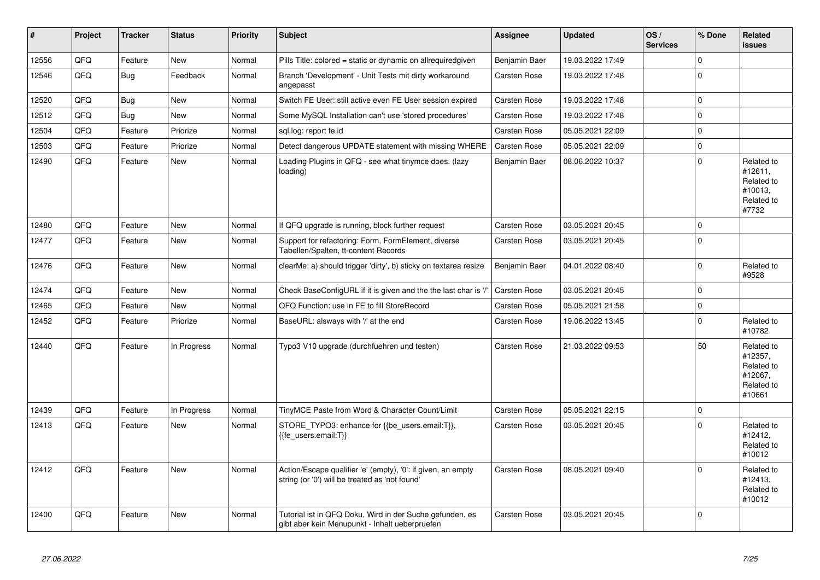| $\vert$ # | Project | <b>Tracker</b> | <b>Status</b> | <b>Priority</b> | <b>Subject</b>                                                                                                 | Assignee            | <b>Updated</b>   | OS/<br><b>Services</b> | % Done      | Related<br><b>issues</b>                                               |
|-----------|---------|----------------|---------------|-----------------|----------------------------------------------------------------------------------------------------------------|---------------------|------------------|------------------------|-------------|------------------------------------------------------------------------|
| 12556     | QFQ     | Feature        | <b>New</b>    | Normal          | Pills Title: colored = static or dynamic on allrequiredgiven                                                   | Benjamin Baer       | 19.03.2022 17:49 |                        | $\mathbf 0$ |                                                                        |
| 12546     | QFQ     | <b>Bug</b>     | Feedback      | Normal          | Branch 'Development' - Unit Tests mit dirty workaround<br>angepasst                                            | Carsten Rose        | 19.03.2022 17:48 |                        | $\Omega$    |                                                                        |
| 12520     | QFQ     | <b>Bug</b>     | <b>New</b>    | Normal          | Switch FE User: still active even FE User session expired                                                      | Carsten Rose        | 19.03.2022 17:48 |                        | $\pmb{0}$   |                                                                        |
| 12512     | QFQ     | Bug            | New           | Normal          | Some MySQL Installation can't use 'stored procedures'                                                          | Carsten Rose        | 19.03.2022 17:48 |                        | $\mathbf 0$ |                                                                        |
| 12504     | QFQ     | Feature        | Priorize      | Normal          | sql.log: report fe.id                                                                                          | Carsten Rose        | 05.05.2021 22:09 |                        | $\pmb{0}$   |                                                                        |
| 12503     | QFQ     | Feature        | Priorize      | Normal          | Detect dangerous UPDATE statement with missing WHERE                                                           | <b>Carsten Rose</b> | 05.05.2021 22:09 |                        | $\mathbf 0$ |                                                                        |
| 12490     | QFQ     | Feature        | New           | Normal          | Loading Plugins in QFQ - see what tinymce does. (lazy<br>loading)                                              | Benjamin Baer       | 08.06.2022 10:37 |                        | $\pmb{0}$   | Related to<br>#12611,<br>Related to<br>#10013,<br>Related to<br>#7732  |
| 12480     | QFQ     | Feature        | New           | Normal          | If QFQ upgrade is running, block further request                                                               | <b>Carsten Rose</b> | 03.05.2021 20:45 |                        | $\pmb{0}$   |                                                                        |
| 12477     | QFQ     | Feature        | New           | Normal          | Support for refactoring: Form, FormElement, diverse<br>Tabellen/Spalten, tt-content Records                    | <b>Carsten Rose</b> | 03.05.2021 20:45 |                        | $\mathbf 0$ |                                                                        |
| 12476     | QFQ     | Feature        | New           | Normal          | clearMe: a) should trigger 'dirty', b) sticky on textarea resize                                               | Benjamin Baer       | 04.01.2022 08:40 |                        | $\mathbf 0$ | Related to<br>#9528                                                    |
| 12474     | QFQ     | Feature        | <b>New</b>    | Normal          | Check BaseConfigURL if it is given and the the last char is '/'                                                | Carsten Rose        | 03.05.2021 20:45 |                        | $\Omega$    |                                                                        |
| 12465     | QFQ     | Feature        | New           | Normal          | QFQ Function: use in FE to fill StoreRecord                                                                    | Carsten Rose        | 05.05.2021 21:58 |                        | $\pmb{0}$   |                                                                        |
| 12452     | QFQ     | Feature        | Priorize      | Normal          | BaseURL: alsways with '/' at the end                                                                           | Carsten Rose        | 19.06.2022 13:45 |                        | $\pmb{0}$   | Related to<br>#10782                                                   |
| 12440     | QFQ     | Feature        | In Progress   | Normal          | Typo3 V10 upgrade (durchfuehren und testen)                                                                    | Carsten Rose        | 21.03.2022 09:53 |                        | 50          | Related to<br>#12357,<br>Related to<br>#12067,<br>Related to<br>#10661 |
| 12439     | QFQ     | Feature        | In Progress   | Normal          | TinyMCE Paste from Word & Character Count/Limit                                                                | <b>Carsten Rose</b> | 05.05.2021 22:15 |                        | $\pmb{0}$   |                                                                        |
| 12413     | QFQ     | Feature        | <b>New</b>    | Normal          | STORE TYPO3: enhance for {{be users.email:T}},<br>{{fe_users.email:T}}                                         | Carsten Rose        | 03.05.2021 20:45 |                        | $\Omega$    | Related to<br>#12412.<br>Related to<br>#10012                          |
| 12412     | QFQ     | Feature        | <b>New</b>    | Normal          | Action/Escape qualifier 'e' (empty), '0': if given, an empty<br>string (or '0') will be treated as 'not found' | <b>Carsten Rose</b> | 08.05.2021 09:40 |                        | $\mathbf 0$ | Related to<br>#12413,<br>Related to<br>#10012                          |
| 12400     | QFQ     | Feature        | New           | Normal          | Tutorial ist in QFQ Doku, Wird in der Suche gefunden, es<br>gibt aber kein Menupunkt - Inhalt ueberpruefen     | <b>Carsten Rose</b> | 03.05.2021 20:45 |                        | $\Omega$    |                                                                        |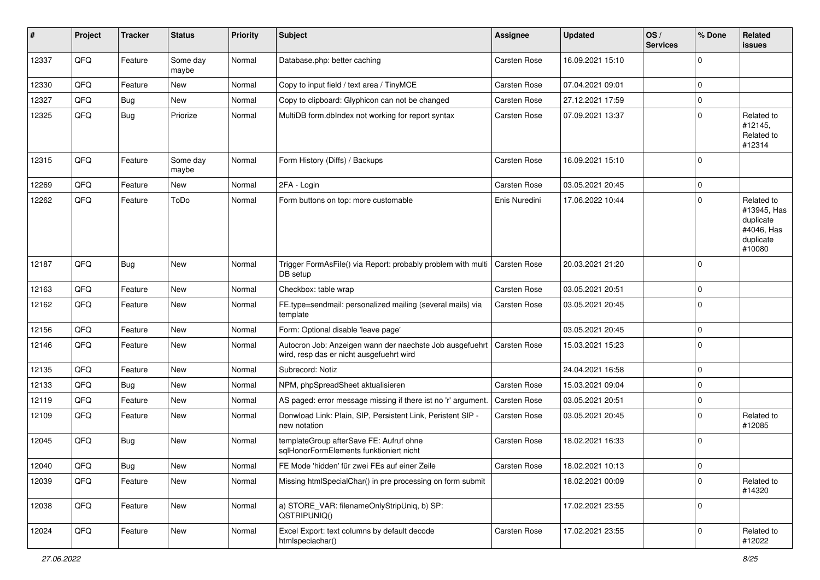| #     | Project | <b>Tracker</b> | <b>Status</b>     | <b>Priority</b> | Subject                                                                                              | <b>Assignee</b> | <b>Updated</b>   | OS/<br><b>Services</b> | % Done      | Related<br>issues                                                           |
|-------|---------|----------------|-------------------|-----------------|------------------------------------------------------------------------------------------------------|-----------------|------------------|------------------------|-------------|-----------------------------------------------------------------------------|
| 12337 | QFQ     | Feature        | Some day<br>maybe | Normal          | Database.php: better caching                                                                         | Carsten Rose    | 16.09.2021 15:10 |                        | $\mathbf 0$ |                                                                             |
| 12330 | QFQ     | Feature        | New               | Normal          | Copy to input field / text area / TinyMCE                                                            | Carsten Rose    | 07.04.2021 09:01 |                        | $\mathbf 0$ |                                                                             |
| 12327 | QFQ     | Bug            | <b>New</b>        | Normal          | Copy to clipboard: Glyphicon can not be changed                                                      | Carsten Rose    | 27.12.2021 17:59 |                        | $\mathbf 0$ |                                                                             |
| 12325 | QFQ     | <b>Bug</b>     | Priorize          | Normal          | MultiDB form.dblndex not working for report syntax                                                   | Carsten Rose    | 07.09.2021 13:37 |                        | $\mathbf 0$ | Related to<br>#12145,<br>Related to<br>#12314                               |
| 12315 | QFQ     | Feature        | Some day<br>maybe | Normal          | Form History (Diffs) / Backups                                                                       | Carsten Rose    | 16.09.2021 15:10 |                        | $\mathbf 0$ |                                                                             |
| 12269 | QFQ     | Feature        | New               | Normal          | 2FA - Login                                                                                          | Carsten Rose    | 03.05.2021 20:45 |                        | $\mathbf 0$ |                                                                             |
| 12262 | QFQ     | Feature        | ToDo              | Normal          | Form buttons on top: more customable                                                                 | Enis Nuredini   | 17.06.2022 10:44 |                        | $\mathbf 0$ | Related to<br>#13945, Has<br>duplicate<br>#4046, Has<br>duplicate<br>#10080 |
| 12187 | QFQ     | Bug            | New               | Normal          | Trigger FormAsFile() via Report: probably problem with multi<br>DB setup                             | Carsten Rose    | 20.03.2021 21:20 |                        | $\mathbf 0$ |                                                                             |
| 12163 | QFQ     | Feature        | <b>New</b>        | Normal          | Checkbox: table wrap                                                                                 | Carsten Rose    | 03.05.2021 20:51 |                        | $\mathbf 0$ |                                                                             |
| 12162 | QFQ     | Feature        | New               | Normal          | FE.type=sendmail: personalized mailing (several mails) via<br>template                               | Carsten Rose    | 03.05.2021 20:45 |                        | $\mathbf 0$ |                                                                             |
| 12156 | QFQ     | Feature        | <b>New</b>        | Normal          | Form: Optional disable 'leave page'                                                                  |                 | 03.05.2021 20:45 |                        | $\mathbf 0$ |                                                                             |
| 12146 | QFQ     | Feature        | New               | Normal          | Autocron Job: Anzeigen wann der naechste Job ausgefuehrt<br>wird, resp das er nicht ausgefuehrt wird | Carsten Rose    | 15.03.2021 15:23 |                        | $\mathbf 0$ |                                                                             |
| 12135 | QFQ     | Feature        | <b>New</b>        | Normal          | Subrecord: Notiz                                                                                     |                 | 24.04.2021 16:58 |                        | $\mathbf 0$ |                                                                             |
| 12133 | QFQ     | Bug            | New               | Normal          | NPM, phpSpreadSheet aktualisieren                                                                    | Carsten Rose    | 15.03.2021 09:04 |                        | $\mathbf 0$ |                                                                             |
| 12119 | QFQ     | Feature        | New               | Normal          | AS paged: error message missing if there ist no 'r' argument.                                        | Carsten Rose    | 03.05.2021 20:51 |                        | $\pmb{0}$   |                                                                             |
| 12109 | QFQ     | Feature        | New               | Normal          | Donwload Link: Plain, SIP, Persistent Link, Peristent SIP -<br>new notation                          | Carsten Rose    | 03.05.2021 20:45 |                        | $\mathbf 0$ | Related to<br>#12085                                                        |
| 12045 | QFQ     | <b>Bug</b>     | <b>New</b>        | Normal          | templateGroup afterSave FE: Aufruf ohne<br>sqlHonorFormElements funktioniert nicht                   | Carsten Rose    | 18.02.2021 16:33 |                        | $\mathbf 0$ |                                                                             |
| 12040 | QFG     | Bug            | New               | Normal          | FE Mode 'hidden' für zwei FEs auf einer Zeile                                                        | Carsten Rose    | 18.02.2021 10:13 |                        | 0           |                                                                             |
| 12039 | QFQ     | Feature        | New               | Normal          | Missing htmlSpecialChar() in pre processing on form submit                                           |                 | 18.02.2021 00:09 |                        | $\mathbf 0$ | Related to<br>#14320                                                        |
| 12038 | QFQ     | Feature        | New               | Normal          | a) STORE_VAR: filenameOnlyStripUniq, b) SP:<br>QSTRIPUNIQ()                                          |                 | 17.02.2021 23:55 |                        | $\mathbf 0$ |                                                                             |
| 12024 | QFQ     | Feature        | New               | Normal          | Excel Export: text columns by default decode<br>htmlspeciachar()                                     | Carsten Rose    | 17.02.2021 23:55 |                        | 0           | Related to<br>#12022                                                        |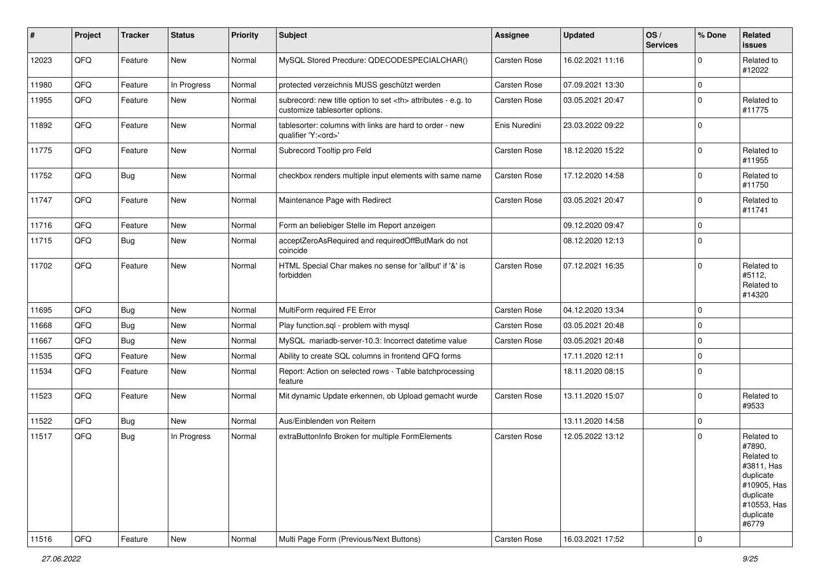| #     | Project | <b>Tracker</b> | <b>Status</b> | <b>Priority</b> | <b>Subject</b>                                                                                       | <b>Assignee</b>                                        | <b>Updated</b>   | OS/<br><b>Services</b> | % Done      | Related<br><b>issues</b>                                                                                                       |                      |
|-------|---------|----------------|---------------|-----------------|------------------------------------------------------------------------------------------------------|--------------------------------------------------------|------------------|------------------------|-------------|--------------------------------------------------------------------------------------------------------------------------------|----------------------|
| 12023 | QFQ     | Feature        | New           | Normal          | MySQL Stored Precdure: QDECODESPECIALCHAR()                                                          | Carsten Rose                                           | 16.02.2021 11:16 |                        | $\Omega$    | Related to<br>#12022                                                                                                           |                      |
| 11980 | QFQ     | Feature        | In Progress   | Normal          | protected verzeichnis MUSS geschützt werden                                                          | Carsten Rose                                           | 07.09.2021 13:30 |                        | $\Omega$    |                                                                                                                                |                      |
| 11955 | QFQ     | Feature        | New           | Normal          | subrecord: new title option to set <th> attributes - e.g. to<br/>customize tablesorter options.</th> | attributes - e.g. to<br>customize tablesorter options. | Carsten Rose     | 03.05.2021 20:47       |             | $\Omega$                                                                                                                       | Related to<br>#11775 |
| 11892 | QFQ     | Feature        | <b>New</b>    | Normal          | tablesorter: columns with links are hard to order - new<br>qualifier 'Y: <ord>'</ord>                | Enis Nuredini                                          | 23.03.2022 09:22 |                        | $\Omega$    |                                                                                                                                |                      |
| 11775 | QFQ     | Feature        | New           | Normal          | Subrecord Tooltip pro Feld                                                                           | Carsten Rose                                           | 18.12.2020 15:22 |                        | $\Omega$    | Related to<br>#11955                                                                                                           |                      |
| 11752 | QFQ     | Bug            | <b>New</b>    | Normal          | checkbox renders multiple input elements with same name                                              | Carsten Rose                                           | 17.12.2020 14:58 |                        | $\Omega$    | Related to<br>#11750                                                                                                           |                      |
| 11747 | QFQ     | Feature        | New           | Normal          | Maintenance Page with Redirect                                                                       | Carsten Rose                                           | 03.05.2021 20:47 |                        | $\Omega$    | Related to<br>#11741                                                                                                           |                      |
| 11716 | QFQ     | Feature        | New           | Normal          | Form an beliebiger Stelle im Report anzeigen                                                         |                                                        | 09.12.2020 09:47 |                        | $\Omega$    |                                                                                                                                |                      |
| 11715 | QFQ     | Bug            | New           | Normal          | acceptZeroAsRequired and requiredOffButMark do not<br>coincide                                       |                                                        | 08.12.2020 12:13 |                        | $\Omega$    |                                                                                                                                |                      |
| 11702 | QFQ     | Feature        | <b>New</b>    | Normal          | HTML Special Char makes no sense for 'allbut' if '&' is<br>forbidden                                 | Carsten Rose                                           | 07.12.2021 16:35 |                        | $\Omega$    | Related to<br>#5112,<br>Related to<br>#14320                                                                                   |                      |
| 11695 | QFQ     | Bug            | <b>New</b>    | Normal          | MultiForm required FE Error                                                                          | Carsten Rose                                           | 04.12.2020 13:34 |                        | $\Omega$    |                                                                                                                                |                      |
| 11668 | QFQ     | Bug            | <b>New</b>    | Normal          | Play function.sql - problem with mysql                                                               | Carsten Rose                                           | 03.05.2021 20:48 |                        | $\Omega$    |                                                                                                                                |                      |
| 11667 | QFQ     | Bug            | New           | Normal          | MySQL mariadb-server-10.3: Incorrect datetime value                                                  | Carsten Rose                                           | 03.05.2021 20:48 |                        | $\Omega$    |                                                                                                                                |                      |
| 11535 | QFQ     | Feature        | <b>New</b>    | Normal          | Ability to create SQL columns in frontend QFQ forms                                                  |                                                        | 17.11.2020 12:11 |                        | $\Omega$    |                                                                                                                                |                      |
| 11534 | QFQ     | Feature        | <b>New</b>    | Normal          | Report: Action on selected rows - Table batchprocessing<br>feature                                   |                                                        | 18.11.2020 08:15 |                        | $\Omega$    |                                                                                                                                |                      |
| 11523 | QFQ     | Feature        | New           | Normal          | Mit dynamic Update erkennen, ob Upload gemacht wurde                                                 | Carsten Rose                                           | 13.11.2020 15:07 |                        | $\Omega$    | Related to<br>#9533                                                                                                            |                      |
| 11522 | QFQ     | Bug            | <b>New</b>    | Normal          | Aus/Einblenden von Reitern                                                                           |                                                        | 13.11.2020 14:58 |                        | $\Omega$    |                                                                                                                                |                      |
| 11517 | QFQ     | Bug            | In Progress   | Normal          | extraButtonInfo Broken for multiple FormElements                                                     | Carsten Rose                                           | 12.05.2022 13:12 |                        | $\Omega$    | Related to<br>#7890,<br>Related to<br>#3811, Has<br>duplicate<br>#10905, Has<br>duplicate<br>#10553, Has<br>duplicate<br>#6779 |                      |
| 11516 | QFQ     | Feature        | <b>New</b>    | Normal          | Multi Page Form (Previous/Next Buttons)                                                              | Carsten Rose                                           | 16.03.2021 17:52 |                        | $\mathbf 0$ |                                                                                                                                |                      |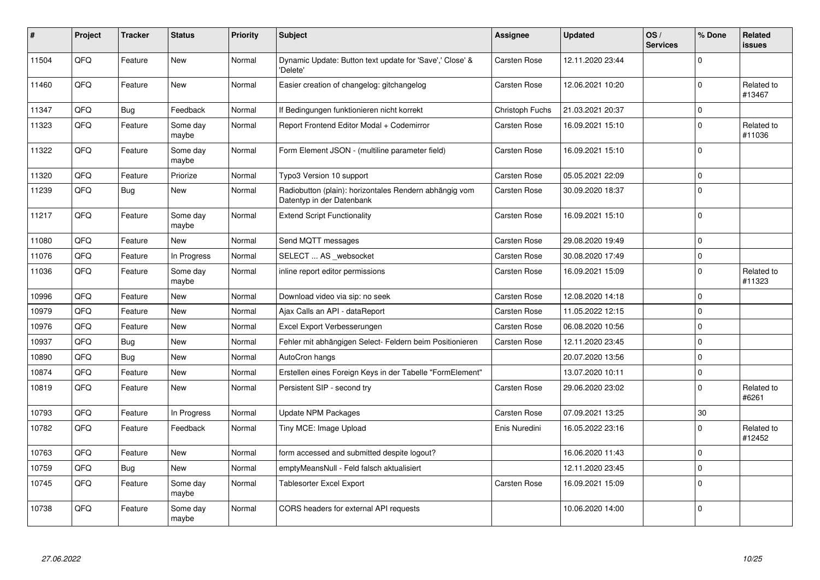| $\sharp$ | Project | <b>Tracker</b> | <b>Status</b>     | <b>Priority</b> | <b>Subject</b>                                                                      | Assignee            | <b>Updated</b>   | OS/<br><b>Services</b> | % Done      | Related<br><b>issues</b> |
|----------|---------|----------------|-------------------|-----------------|-------------------------------------------------------------------------------------|---------------------|------------------|------------------------|-------------|--------------------------|
| 11504    | QFQ     | Feature        | New               | Normal          | Dynamic Update: Button text update for 'Save',' Close' &<br>'Delete'                | Carsten Rose        | 12.11.2020 23:44 |                        | $\Omega$    |                          |
| 11460    | QFQ     | Feature        | New               | Normal          | Easier creation of changelog: gitchangelog                                          | <b>Carsten Rose</b> | 12.06.2021 10:20 |                        | $\Omega$    | Related to<br>#13467     |
| 11347    | QFQ     | <b>Bug</b>     | Feedback          | Normal          | If Bedingungen funktionieren nicht korrekt                                          | Christoph Fuchs     | 21.03.2021 20:37 |                        | $\mathbf 0$ |                          |
| 11323    | QFQ     | Feature        | Some day<br>maybe | Normal          | Report Frontend Editor Modal + Codemirror                                           | Carsten Rose        | 16.09.2021 15:10 |                        | $\Omega$    | Related to<br>#11036     |
| 11322    | QFQ     | Feature        | Some day<br>maybe | Normal          | Form Element JSON - (multiline parameter field)                                     | <b>Carsten Rose</b> | 16.09.2021 15:10 |                        | $\mathbf 0$ |                          |
| 11320    | QFQ     | Feature        | Priorize          | Normal          | Typo3 Version 10 support                                                            | Carsten Rose        | 05.05.2021 22:09 |                        | $\mathbf 0$ |                          |
| 11239    | QFQ     | Bug            | New               | Normal          | Radiobutton (plain): horizontales Rendern abhängig vom<br>Datentyp in der Datenbank | <b>Carsten Rose</b> | 30.09.2020 18:37 |                        | $\mathbf 0$ |                          |
| 11217    | QFQ     | Feature        | Some day<br>maybe | Normal          | <b>Extend Script Functionality</b>                                                  | Carsten Rose        | 16.09.2021 15:10 |                        | $\Omega$    |                          |
| 11080    | QFQ     | Feature        | New               | Normal          | Send MQTT messages                                                                  | Carsten Rose        | 29.08.2020 19:49 |                        | $\mathbf 0$ |                          |
| 11076    | QFQ     | Feature        | In Progress       | Normal          | SELECT  AS _websocket                                                               | Carsten Rose        | 30.08.2020 17:49 |                        | $\mathbf 0$ |                          |
| 11036    | QFQ     | Feature        | Some day<br>maybe | Normal          | inline report editor permissions                                                    | Carsten Rose        | 16.09.2021 15:09 |                        | $\mathbf 0$ | Related to<br>#11323     |
| 10996    | QFQ     | Feature        | <b>New</b>        | Normal          | Download video via sip: no seek                                                     | Carsten Rose        | 12.08.2020 14:18 |                        | $\mathbf 0$ |                          |
| 10979    | QFQ     | Feature        | <b>New</b>        | Normal          | Ajax Calls an API - dataReport                                                      | Carsten Rose        | 11.05.2022 12:15 |                        | $\Omega$    |                          |
| 10976    | QFQ     | Feature        | New               | Normal          | Excel Export Verbesserungen                                                         | <b>Carsten Rose</b> | 06.08.2020 10:56 |                        | $\mathbf 0$ |                          |
| 10937    | QFQ     | Bug            | New               | Normal          | Fehler mit abhängigen Select- Feldern beim Positionieren                            | <b>Carsten Rose</b> | 12.11.2020 23:45 |                        | $\mathbf 0$ |                          |
| 10890    | QFQ     | Bug            | New               | Normal          | AutoCron hangs                                                                      |                     | 20.07.2020 13:56 |                        | $\mathbf 0$ |                          |
| 10874    | QFQ     | Feature        | New               | Normal          | Erstellen eines Foreign Keys in der Tabelle "FormElement"                           |                     | 13.07.2020 10:11 |                        | $\mathbf 0$ |                          |
| 10819    | QFQ     | Feature        | New               | Normal          | Persistent SIP - second try                                                         | Carsten Rose        | 29.06.2020 23:02 |                        | $\mathbf 0$ | Related to<br>#6261      |
| 10793    | QFQ     | Feature        | In Progress       | Normal          | Update NPM Packages                                                                 | <b>Carsten Rose</b> | 07.09.2021 13:25 |                        | 30          |                          |
| 10782    | QFQ     | Feature        | Feedback          | Normal          | Tiny MCE: Image Upload                                                              | Enis Nuredini       | 16.05.2022 23:16 |                        | $\Omega$    | Related to<br>#12452     |
| 10763    | QFQ     | Feature        | <b>New</b>        | Normal          | form accessed and submitted despite logout?                                         |                     | 16.06.2020 11:43 |                        | $\mathbf 0$ |                          |
| 10759    | QFQ     | <b>Bug</b>     | <b>New</b>        | Normal          | emptyMeansNull - Feld falsch aktualisiert                                           |                     | 12.11.2020 23:45 |                        | $\mathbf 0$ |                          |
| 10745    | QFQ     | Feature        | Some day<br>maybe | Normal          | <b>Tablesorter Excel Export</b>                                                     | Carsten Rose        | 16.09.2021 15:09 |                        | $\Omega$    |                          |
| 10738    | QFQ     | Feature        | Some day<br>maybe | Normal          | CORS headers for external API requests                                              |                     | 10.06.2020 14:00 |                        | $\Omega$    |                          |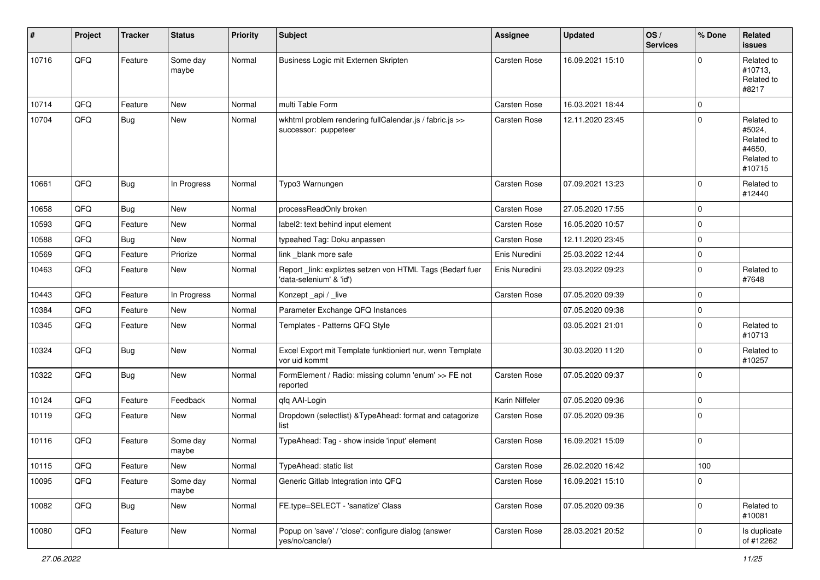| ∦     | Project | <b>Tracker</b> | <b>Status</b>     | <b>Priority</b> | <b>Subject</b>                                                                       | <b>Assignee</b>     | <b>Updated</b>   | OS/<br><b>Services</b> | % Done      | Related<br><b>issues</b>                                             |
|-------|---------|----------------|-------------------|-----------------|--------------------------------------------------------------------------------------|---------------------|------------------|------------------------|-------------|----------------------------------------------------------------------|
| 10716 | QFQ     | Feature        | Some day<br>maybe | Normal          | Business Logic mit Externen Skripten                                                 | Carsten Rose        | 16.09.2021 15:10 |                        | $\Omega$    | Related to<br>#10713,<br>Related to<br>#8217                         |
| 10714 | QFQ     | Feature        | New               | Normal          | multi Table Form                                                                     | Carsten Rose        | 16.03.2021 18:44 |                        | 0           |                                                                      |
| 10704 | QFQ     | Bug            | New               | Normal          | wkhtml problem rendering fullCalendar.js / fabric.js >><br>successor: puppeteer      | Carsten Rose        | 12.11.2020 23:45 |                        | $\Omega$    | Related to<br>#5024.<br>Related to<br>#4650,<br>Related to<br>#10715 |
| 10661 | QFQ     | Bug            | In Progress       | Normal          | Typo3 Warnungen                                                                      | Carsten Rose        | 07.09.2021 13:23 |                        | $\Omega$    | Related to<br>#12440                                                 |
| 10658 | QFQ     | <b>Bug</b>     | New               | Normal          | processReadOnly broken                                                               | Carsten Rose        | 27.05.2020 17:55 |                        | $\Omega$    |                                                                      |
| 10593 | QFQ     | Feature        | <b>New</b>        | Normal          | label2: text behind input element                                                    | Carsten Rose        | 16.05.2020 10:57 |                        | $\Omega$    |                                                                      |
| 10588 | QFQ     | Bug            | New               | Normal          | typeahed Tag: Doku anpassen                                                          | Carsten Rose        | 12.11.2020 23:45 |                        | $\Omega$    |                                                                      |
| 10569 | QFQ     | Feature        | Priorize          | Normal          | link blank more safe                                                                 | Enis Nuredini       | 25.03.2022 12:44 |                        | $\mathbf 0$ |                                                                      |
| 10463 | QFQ     | Feature        | <b>New</b>        | Normal          | Report _link: expliztes setzen von HTML Tags (Bedarf fuer<br>'data-selenium' & 'id') | Enis Nuredini       | 23.03.2022 09:23 |                        | $\Omega$    | Related to<br>#7648                                                  |
| 10443 | QFQ     | Feature        | In Progress       | Normal          | Konzept_api / _live                                                                  | Carsten Rose        | 07.05.2020 09:39 |                        | $\Omega$    |                                                                      |
| 10384 | QFQ     | Feature        | New               | Normal          | Parameter Exchange QFQ Instances                                                     |                     | 07.05.2020 09:38 |                        | 0           |                                                                      |
| 10345 | QFQ     | Feature        | New               | Normal          | Templates - Patterns QFQ Style                                                       |                     | 03.05.2021 21:01 |                        | $\Omega$    | Related to<br>#10713                                                 |
| 10324 | QFQ     | Bug            | New               | Normal          | Excel Export mit Template funktioniert nur, wenn Template<br>vor uid kommt           |                     | 30.03.2020 11:20 |                        | $\Omega$    | Related to<br>#10257                                                 |
| 10322 | QFQ     | <b>Bug</b>     | New               | Normal          | FormElement / Radio: missing column 'enum' >> FE not<br>reported                     | Carsten Rose        | 07.05.2020 09:37 |                        | $\Omega$    |                                                                      |
| 10124 | QFQ     | Feature        | Feedback          | Normal          | qfq AAI-Login                                                                        | Karin Niffeler      | 07.05.2020 09:36 |                        | $\mathbf 0$ |                                                                      |
| 10119 | QFQ     | Feature        | New               | Normal          | Dropdown (selectlist) & TypeAhead: format and catagorize<br>list                     | Carsten Rose        | 07.05.2020 09:36 |                        | $\Omega$    |                                                                      |
| 10116 | QFQ     | Feature        | Some day<br>maybe | Normal          | TypeAhead: Tag - show inside 'input' element                                         | <b>Carsten Rose</b> | 16.09.2021 15:09 |                        | $\Omega$    |                                                                      |
| 10115 | QFQ     | Feature        | New               | Normal          | TypeAhead: static list                                                               | Carsten Rose        | 26.02.2020 16:42 |                        | $100\,$     |                                                                      |
| 10095 | QFQ     | Feature        | Some day<br>maybe | Normal          | Generic Gitlab Integration into QFQ                                                  | Carsten Rose        | 16.09.2021 15:10 |                        | 0           |                                                                      |
| 10082 | QFQ     | <b>Bug</b>     | New               | Normal          | FE.type=SELECT - 'sanatize' Class                                                    | Carsten Rose        | 07.05.2020 09:36 |                        | 0           | Related to<br>#10081                                                 |
| 10080 | QFO     | Feature        | New               | Normal          | Popup on 'save' / 'close': configure dialog (answer<br>yes/no/cancle/)               | Carsten Rose        | 28.03.2021 20:52 |                        | 0           | Is duplicate<br>of #12262                                            |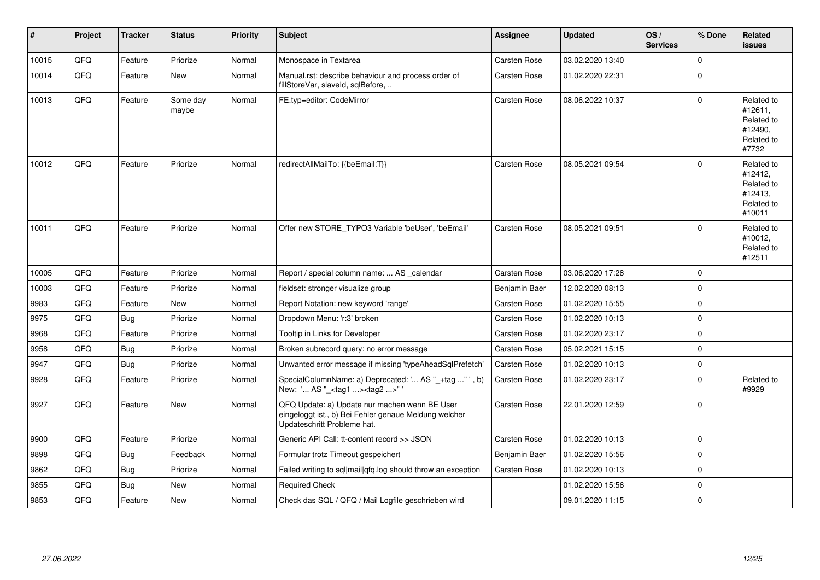| $\sharp$ | Project | <b>Tracker</b> | <b>Status</b>     | <b>Priority</b> | <b>Subject</b>                                                                                                                        | Assignee            | <b>Updated</b>   | OS/<br><b>Services</b> | % Done      | Related<br><b>issues</b>                                               |
|----------|---------|----------------|-------------------|-----------------|---------------------------------------------------------------------------------------------------------------------------------------|---------------------|------------------|------------------------|-------------|------------------------------------------------------------------------|
| 10015    | QFQ     | Feature        | Priorize          | Normal          | Monospace in Textarea                                                                                                                 | Carsten Rose        | 03.02.2020 13:40 |                        | $\mathbf 0$ |                                                                        |
| 10014    | QFQ     | Feature        | New               | Normal          | Manual.rst: describe behaviour and process order of<br>fillStoreVar, slaveId, sqlBefore,                                              | Carsten Rose        | 01.02.2020 22:31 |                        | $\mathbf 0$ |                                                                        |
| 10013    | QFQ     | Feature        | Some day<br>maybe | Normal          | FE.typ=editor: CodeMirror                                                                                                             | <b>Carsten Rose</b> | 08.06.2022 10:37 |                        | $\Omega$    | Related to<br>#12611,<br>Related to<br>#12490,<br>Related to<br>#7732  |
| 10012    | QFQ     | Feature        | Priorize          | Normal          | redirectAllMailTo: {{beEmail:T}}                                                                                                      | <b>Carsten Rose</b> | 08.05.2021 09:54 |                        | $\Omega$    | Related to<br>#12412,<br>Related to<br>#12413,<br>Related to<br>#10011 |
| 10011    | QFQ     | Feature        | Priorize          | Normal          | Offer new STORE TYPO3 Variable 'beUser', 'beEmail'                                                                                    | <b>Carsten Rose</b> | 08.05.2021 09:51 |                        | $\Omega$    | Related to<br>#10012,<br>Related to<br>#12511                          |
| 10005    | QFQ     | Feature        | Priorize          | Normal          | Report / special column name:  AS _calendar                                                                                           | Carsten Rose        | 03.06.2020 17:28 |                        | $\Omega$    |                                                                        |
| 10003    | QFQ     | Feature        | Priorize          | Normal          | fieldset: stronger visualize group                                                                                                    | Benjamin Baer       | 12.02.2020 08:13 |                        | $\mathbf 0$ |                                                                        |
| 9983     | QFQ     | Feature        | <b>New</b>        | Normal          | Report Notation: new keyword 'range'                                                                                                  | <b>Carsten Rose</b> | 01.02.2020 15:55 |                        | $\mathbf 0$ |                                                                        |
| 9975     | QFQ     | Bug            | Priorize          | Normal          | Dropdown Menu: 'r:3' broken                                                                                                           | <b>Carsten Rose</b> | 01.02.2020 10:13 |                        | $\mathbf 0$ |                                                                        |
| 9968     | QFQ     | Feature        | Priorize          | Normal          | Tooltip in Links for Developer                                                                                                        | Carsten Rose        | 01.02.2020 23:17 |                        | $\mathbf 0$ |                                                                        |
| 9958     | QFQ     | Bug            | Priorize          | Normal          | Broken subrecord query: no error message                                                                                              | Carsten Rose        | 05.02.2021 15:15 |                        | $\mathbf 0$ |                                                                        |
| 9947     | QFQ     | Bug            | Priorize          | Normal          | Unwanted error message if missing 'typeAheadSqlPrefetch'                                                                              | Carsten Rose        | 01.02.2020 10:13 |                        | $\mathbf 0$ |                                                                        |
| 9928     | QFQ     | Feature        | Priorize          | Normal          | SpecialColumnName: a) Deprecated: ' AS "_+tag " ', b)<br>New: ' AS "_ <tag1><tag2>" '</tag2></tag1>                                   | Carsten Rose        | 01.02.2020 23:17 |                        | $\Omega$    | Related to<br>#9929                                                    |
| 9927     | QFQ     | Feature        | <b>New</b>        | Normal          | QFQ Update: a) Update nur machen wenn BE User<br>eingeloggt ist., b) Bei Fehler genaue Meldung welcher<br>Updateschritt Probleme hat. | <b>Carsten Rose</b> | 22.01.2020 12:59 |                        | $\Omega$    |                                                                        |
| 9900     | QFQ     | Feature        | Priorize          | Normal          | Generic API Call: tt-content record >> JSON                                                                                           | Carsten Rose        | 01.02.2020 10:13 |                        | $\mathbf 0$ |                                                                        |
| 9898     | QFQ     | <b>Bug</b>     | Feedback          | Normal          | Formular trotz Timeout gespeichert                                                                                                    | Benjamin Baer       | 01.02.2020 15:56 |                        | $\mathbf 0$ |                                                                        |
| 9862     | QFQ     | Bug            | Priorize          | Normal          | Failed writing to sql mail qfq.log should throw an exception                                                                          | Carsten Rose        | 01.02.2020 10:13 |                        | $\mathbf 0$ |                                                                        |
| 9855     | QFQ     | Bug            | New               | Normal          | <b>Required Check</b>                                                                                                                 |                     | 01.02.2020 15:56 |                        | $\mathbf 0$ |                                                                        |
| 9853     | QFQ     | Feature        | New               | Normal          | Check das SQL / QFQ / Mail Logfile geschrieben wird                                                                                   |                     | 09.01.2020 11:15 |                        | $\mathbf 0$ |                                                                        |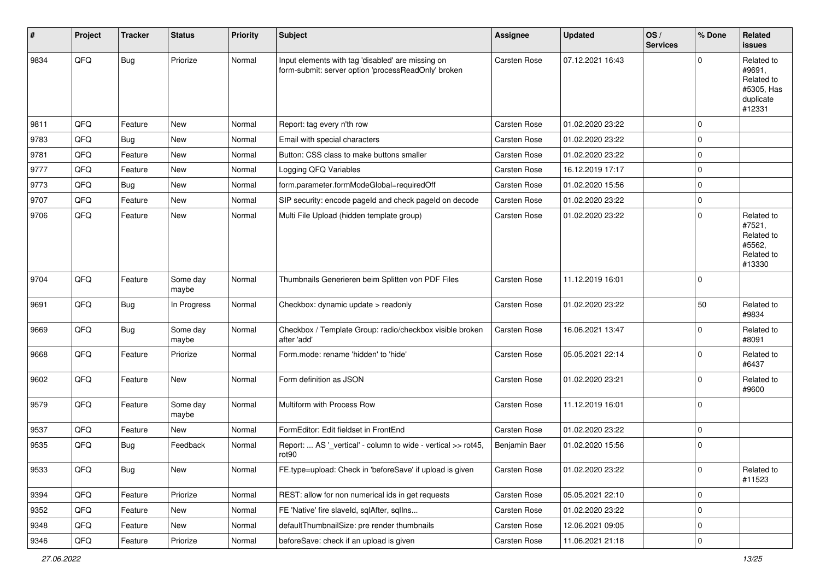| #    | Project | <b>Tracker</b> | <b>Status</b>     | Priority | Subject                                                                                                  | Assignee            | <b>Updated</b>   | OS/<br><b>Services</b> | % Done      | Related<br><b>issues</b>                                                |
|------|---------|----------------|-------------------|----------|----------------------------------------------------------------------------------------------------------|---------------------|------------------|------------------------|-------------|-------------------------------------------------------------------------|
| 9834 | QFQ     | <b>Bug</b>     | Priorize          | Normal   | Input elements with tag 'disabled' are missing on<br>form-submit: server option 'processReadOnly' broken | <b>Carsten Rose</b> | 07.12.2021 16:43 |                        | $\Omega$    | Related to<br>#9691,<br>Related to<br>#5305, Has<br>duplicate<br>#12331 |
| 9811 | QFQ     | Feature        | <b>New</b>        | Normal   | Report: tag every n'th row                                                                               | <b>Carsten Rose</b> | 01.02.2020 23:22 |                        | $\mathbf 0$ |                                                                         |
| 9783 | QFQ     | Bug            | <b>New</b>        | Normal   | Email with special characters                                                                            | Carsten Rose        | 01.02.2020 23:22 |                        | 0           |                                                                         |
| 9781 | QFQ     | Feature        | New               | Normal   | Button: CSS class to make buttons smaller                                                                | Carsten Rose        | 01.02.2020 23:22 |                        | $\mathbf 0$ |                                                                         |
| 9777 | QFQ     | Feature        | New               | Normal   | Logging QFQ Variables                                                                                    | Carsten Rose        | 16.12.2019 17:17 |                        | 0           |                                                                         |
| 9773 | QFQ     | Bug            | New               | Normal   | form.parameter.formModeGlobal=requiredOff                                                                | Carsten Rose        | 01.02.2020 15:56 |                        | $\mathbf 0$ |                                                                         |
| 9707 | QFQ     | Feature        | <b>New</b>        | Normal   | SIP security: encode pageId and check pageId on decode                                                   | <b>Carsten Rose</b> | 01.02.2020 23:22 |                        | $\mathbf 0$ |                                                                         |
| 9706 | QFQ     | Feature        | New               | Normal   | Multi File Upload (hidden template group)                                                                | <b>Carsten Rose</b> | 01.02.2020 23:22 |                        | $\Omega$    | Related to<br>#7521,<br>Related to<br>#5562,<br>Related to<br>#13330    |
| 9704 | QFQ     | Feature        | Some day<br>maybe | Normal   | Thumbnails Generieren beim Splitten von PDF Files                                                        | Carsten Rose        | 11.12.2019 16:01 |                        | $\mathbf 0$ |                                                                         |
| 9691 | QFQ     | <b>Bug</b>     | In Progress       | Normal   | Checkbox: dynamic update > readonly                                                                      | <b>Carsten Rose</b> | 01.02.2020 23:22 |                        | 50          | Related to<br>#9834                                                     |
| 9669 | QFQ     | Bug            | Some day<br>maybe | Normal   | Checkbox / Template Group: radio/checkbox visible broken<br>after 'add'                                  | Carsten Rose        | 16.06.2021 13:47 |                        | $\mathbf 0$ | Related to<br>#8091                                                     |
| 9668 | QFQ     | Feature        | Priorize          | Normal   | Form.mode: rename 'hidden' to 'hide'                                                                     | Carsten Rose        | 05.05.2021 22:14 |                        | $\Omega$    | Related to<br>#6437                                                     |
| 9602 | QFQ     | Feature        | New               | Normal   | Form definition as JSON                                                                                  | Carsten Rose        | 01.02.2020 23:21 |                        | 0           | Related to<br>#9600                                                     |
| 9579 | QFQ     | Feature        | Some day<br>maybe | Normal   | Multiform with Process Row                                                                               | Carsten Rose        | 11.12.2019 16:01 |                        | $\mathbf 0$ |                                                                         |
| 9537 | QFQ     | Feature        | New               | Normal   | FormEditor: Edit fieldset in FrontEnd                                                                    | Carsten Rose        | 01.02.2020 23:22 |                        | $\mathbf 0$ |                                                                         |
| 9535 | QFQ     | Bug            | Feedback          | Normal   | Report:  AS '_vertical' - column to wide - vertical >> rot45,<br>rot <sub>90</sub>                       | Benjamin Baer       | 01.02.2020 15:56 |                        | $\mathbf 0$ |                                                                         |
| 9533 | QFQ     | <b>Bug</b>     | New               | Normal   | FE.type=upload: Check in 'beforeSave' if upload is given                                                 | Carsten Rose        | 01.02.2020 23:22 |                        | 0           | Related to<br>#11523                                                    |
| 9394 | QFQ     | Feature        | Priorize          | Normal   | REST: allow for non numerical ids in get requests                                                        | Carsten Rose        | 05.05.2021 22:10 |                        | $\mathbf 0$ |                                                                         |
| 9352 | QFQ     | Feature        | New               | Normal   | FE 'Native' fire slaveld, sqlAfter, sqlIns                                                               | Carsten Rose        | 01.02.2020 23:22 |                        | $\mathbf 0$ |                                                                         |
| 9348 | QFQ     | Feature        | New               | Normal   | defaultThumbnailSize: pre render thumbnails                                                              | Carsten Rose        | 12.06.2021 09:05 |                        | 0           |                                                                         |
| 9346 | QFQ     | Feature        | Priorize          | Normal   | beforeSave: check if an upload is given                                                                  | Carsten Rose        | 11.06.2021 21:18 |                        | $\mathbf 0$ |                                                                         |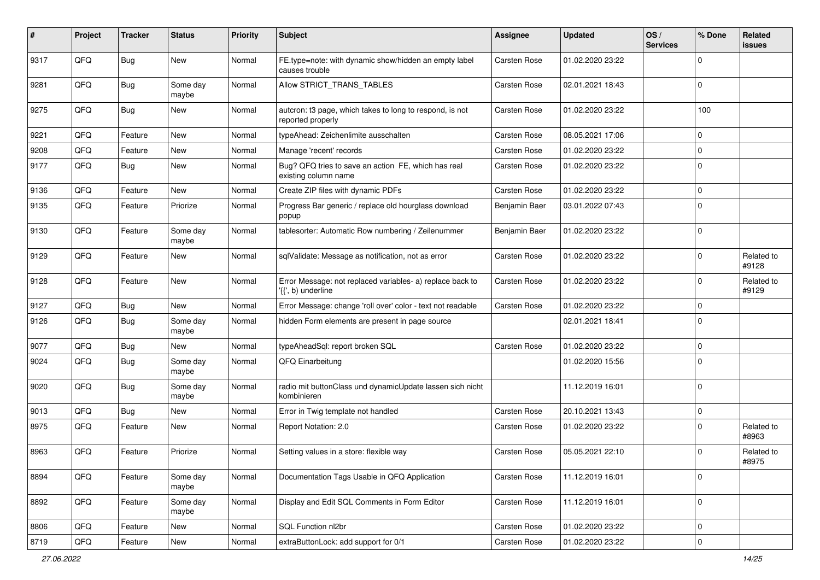| ∦    | Project | <b>Tracker</b> | <b>Status</b>     | <b>Priority</b> | <b>Subject</b>                                                                  | Assignee            | <b>Updated</b>   | OS/<br><b>Services</b> | % Done      | Related<br>issues   |
|------|---------|----------------|-------------------|-----------------|---------------------------------------------------------------------------------|---------------------|------------------|------------------------|-------------|---------------------|
| 9317 | QFQ     | Bug            | <b>New</b>        | Normal          | FE.type=note: with dynamic show/hidden an empty label<br>causes trouble         | Carsten Rose        | 01.02.2020 23:22 |                        | $\mathbf 0$ |                     |
| 9281 | QFQ     | Bug            | Some day<br>maybe | Normal          | Allow STRICT_TRANS_TABLES                                                       | Carsten Rose        | 02.01.2021 18:43 |                        | $\mathbf 0$ |                     |
| 9275 | QFQ     | Bug            | New               | Normal          | autcron: t3 page, which takes to long to respond, is not<br>reported properly   | <b>Carsten Rose</b> | 01.02.2020 23:22 |                        | 100         |                     |
| 9221 | QFQ     | Feature        | New               | Normal          | typeAhead: Zeichenlimite ausschalten                                            | <b>Carsten Rose</b> | 08.05.2021 17:06 |                        | $\mathbf 0$ |                     |
| 9208 | QFQ     | Feature        | New               | Normal          | Manage 'recent' records                                                         | <b>Carsten Rose</b> | 01.02.2020 23:22 |                        | $\mathbf 0$ |                     |
| 9177 | QFQ     | Bug            | <b>New</b>        | Normal          | Bug? QFQ tries to save an action FE, which has real<br>existing column name     | <b>Carsten Rose</b> | 01.02.2020 23:22 |                        | $\mathbf 0$ |                     |
| 9136 | QFQ     | Feature        | <b>New</b>        | Normal          | Create ZIP files with dynamic PDFs                                              | Carsten Rose        | 01.02.2020 23:22 |                        | $\mathbf 0$ |                     |
| 9135 | QFQ     | Feature        | Priorize          | Normal          | Progress Bar generic / replace old hourglass download<br>popup                  | Benjamin Baer       | 03.01.2022 07:43 |                        | $\mathbf 0$ |                     |
| 9130 | QFQ     | Feature        | Some day<br>maybe | Normal          | tablesorter: Automatic Row numbering / Zeilenummer                              | Benjamin Baer       | 01.02.2020 23:22 |                        | $\mathbf 0$ |                     |
| 9129 | QFQ     | Feature        | New               | Normal          | sqlValidate: Message as notification, not as error                              | Carsten Rose        | 01.02.2020 23:22 |                        | $\mathbf 0$ | Related to<br>#9128 |
| 9128 | QFQ     | Feature        | New               | Normal          | Error Message: not replaced variables- a) replace back to<br>'{{', b) underline | Carsten Rose        | 01.02.2020 23:22 |                        | $\mathbf 0$ | Related to<br>#9129 |
| 9127 | QFQ     | Bug            | <b>New</b>        | Normal          | Error Message: change 'roll over' color - text not readable                     | <b>Carsten Rose</b> | 01.02.2020 23:22 |                        | $\mathbf 0$ |                     |
| 9126 | QFQ     | Bug            | Some day<br>maybe | Normal          | hidden Form elements are present in page source                                 |                     | 02.01.2021 18:41 |                        | $\mathbf 0$ |                     |
| 9077 | QFQ     | Bug            | <b>New</b>        | Normal          | typeAheadSql: report broken SQL                                                 | <b>Carsten Rose</b> | 01.02.2020 23:22 |                        | $\mathbf 0$ |                     |
| 9024 | QFQ     | Bug            | Some day<br>maybe | Normal          | QFQ Einarbeitung                                                                |                     | 01.02.2020 15:56 |                        | $\mathbf 0$ |                     |
| 9020 | QFQ     | Bug            | Some day<br>maybe | Normal          | radio mit buttonClass und dynamicUpdate lassen sich nicht<br>kombinieren        |                     | 11.12.2019 16:01 |                        | $\mathbf 0$ |                     |
| 9013 | QFQ     | Bug            | <b>New</b>        | Normal          | Error in Twig template not handled                                              | <b>Carsten Rose</b> | 20.10.2021 13:43 |                        | $\mathbf 0$ |                     |
| 8975 | QFQ     | Feature        | New               | Normal          | Report Notation: 2.0                                                            | Carsten Rose        | 01.02.2020 23:22 |                        | $\mathbf 0$ | Related to<br>#8963 |
| 8963 | QFQ     | Feature        | Priorize          | Normal          | Setting values in a store: flexible way                                         | Carsten Rose        | 05.05.2021 22:10 |                        | $\mathbf 0$ | Related to<br>#8975 |
| 8894 | QFQ     | Feature        | Some day<br>maybe | Normal          | Documentation Tags Usable in QFQ Application                                    | Carsten Rose        | 11.12.2019 16:01 |                        | $\mathbf 0$ |                     |
| 8892 | QFQ     | Feature        | Some day<br>maybe | Normal          | Display and Edit SQL Comments in Form Editor                                    | Carsten Rose        | 11.12.2019 16:01 |                        | $\mathbf 0$ |                     |
| 8806 | QFQ     | Feature        | New               | Normal          | SQL Function nl2br                                                              | Carsten Rose        | 01.02.2020 23:22 |                        | $\mathbf 0$ |                     |
| 8719 | QFQ     | Feature        | New               | Normal          | extraButtonLock: add support for 0/1                                            | Carsten Rose        | 01.02.2020 23:22 |                        | $\mathsf 0$ |                     |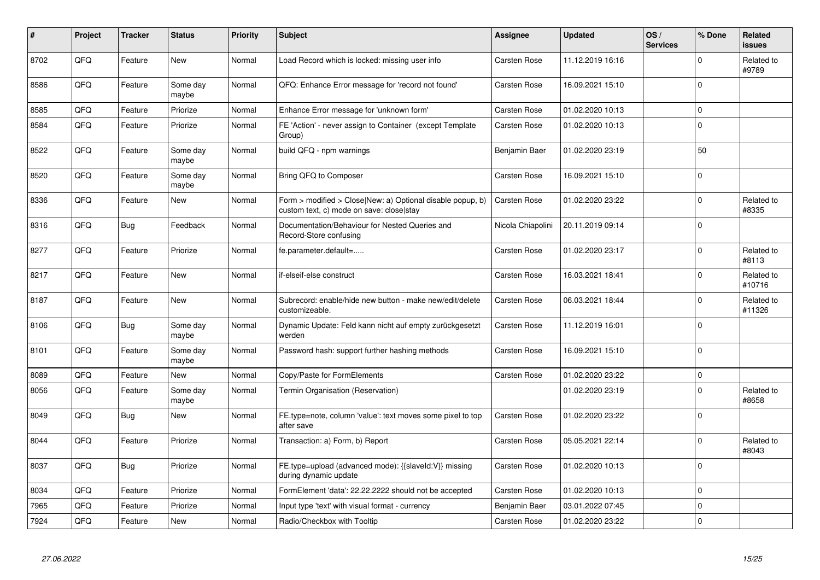| $\pmb{\#}$ | Project | <b>Tracker</b> | <b>Status</b>     | <b>Priority</b> | <b>Subject</b>                                                                                         | <b>Assignee</b>     | <b>Updated</b>   | OS/<br><b>Services</b> | % Done      | Related<br><b>issues</b> |
|------------|---------|----------------|-------------------|-----------------|--------------------------------------------------------------------------------------------------------|---------------------|------------------|------------------------|-------------|--------------------------|
| 8702       | QFQ     | Feature        | New               | Normal          | Load Record which is locked: missing user info                                                         | <b>Carsten Rose</b> | 11.12.2019 16:16 |                        | $\Omega$    | Related to<br>#9789      |
| 8586       | QFQ     | Feature        | Some day<br>maybe | Normal          | QFQ: Enhance Error message for 'record not found'                                                      | <b>Carsten Rose</b> | 16.09.2021 15:10 |                        | $\Omega$    |                          |
| 8585       | QFQ     | Feature        | Priorize          | Normal          | Enhance Error message for 'unknown form'                                                               | Carsten Rose        | 01.02.2020 10:13 |                        | $\mathbf 0$ |                          |
| 8584       | QFQ     | Feature        | Priorize          | Normal          | FE 'Action' - never assign to Container (except Template<br>Group)                                     | Carsten Rose        | 01.02.2020 10:13 |                        | $\mathbf 0$ |                          |
| 8522       | QFQ     | Feature        | Some day<br>maybe | Normal          | build QFQ - npm warnings                                                                               | Benjamin Baer       | 01.02.2020 23:19 |                        | 50          |                          |
| 8520       | QFQ     | Feature        | Some day<br>maybe | Normal          | Bring QFQ to Composer                                                                                  | Carsten Rose        | 16.09.2021 15:10 |                        | $\Omega$    |                          |
| 8336       | QFQ     | Feature        | <b>New</b>        | Normal          | Form > modified > Close New: a) Optional disable popup, b)<br>custom text, c) mode on save: close stay | <b>Carsten Rose</b> | 01.02.2020 23:22 |                        | $\mathbf 0$ | Related to<br>#8335      |
| 8316       | QFQ     | <b>Bug</b>     | Feedback          | Normal          | Documentation/Behaviour for Nested Queries and<br>Record-Store confusing                               | Nicola Chiapolini   | 20.11.2019 09:14 |                        | $\mathbf 0$ |                          |
| 8277       | QFQ     | Feature        | Priorize          | Normal          | fe.parameter.default=                                                                                  | Carsten Rose        | 01.02.2020 23:17 |                        | $\mathbf 0$ | Related to<br>#8113      |
| 8217       | QFQ     | Feature        | New               | Normal          | if-elseif-else construct                                                                               | Carsten Rose        | 16.03.2021 18:41 |                        | $\mathbf 0$ | Related to<br>#10716     |
| 8187       | QFQ     | Feature        | New               | Normal          | Subrecord: enable/hide new button - make new/edit/delete<br>customizeable.                             | <b>Carsten Rose</b> | 06.03.2021 18:44 |                        | $\mathbf 0$ | Related to<br>#11326     |
| 8106       | QFQ     | <b>Bug</b>     | Some day<br>maybe | Normal          | Dynamic Update: Feld kann nicht auf empty zurückgesetzt<br>werden                                      | Carsten Rose        | 11.12.2019 16:01 |                        | $\mathbf 0$ |                          |
| 8101       | QFQ     | Feature        | Some day<br>maybe | Normal          | Password hash: support further hashing methods                                                         | Carsten Rose        | 16.09.2021 15:10 |                        | $\Omega$    |                          |
| 8089       | QFQ     | Feature        | New               | Normal          | Copy/Paste for FormElements                                                                            | <b>Carsten Rose</b> | 01.02.2020 23:22 |                        | $\mathbf 0$ |                          |
| 8056       | QFQ     | Feature        | Some day<br>maybe | Normal          | Termin Organisation (Reservation)                                                                      |                     | 01.02.2020 23:19 |                        | $\Omega$    | Related to<br>#8658      |
| 8049       | QFQ     | <b>Bug</b>     | New               | Normal          | FE.type=note, column 'value': text moves some pixel to top<br>after save                               | Carsten Rose        | 01.02.2020 23:22 |                        | $\mathbf 0$ |                          |
| 8044       | QFQ     | Feature        | Priorize          | Normal          | Transaction: a) Form, b) Report                                                                        | <b>Carsten Rose</b> | 05.05.2021 22:14 |                        | $\mathbf 0$ | Related to<br>#8043      |
| 8037       | QFQ     | <b>Bug</b>     | Priorize          | Normal          | FE.type=upload (advanced mode): {{slaveld:V}} missing<br>during dynamic update                         | Carsten Rose        | 01.02.2020 10:13 |                        | $\mathbf 0$ |                          |
| 8034       | QFQ     | Feature        | Priorize          | Normal          | FormElement 'data': 22.22.2222 should not be accepted                                                  | Carsten Rose        | 01.02.2020 10:13 |                        | $\mathbf 0$ |                          |
| 7965       | QFQ     | Feature        | Priorize          | Normal          | Input type 'text' with visual format - currency                                                        | Benjamin Baer       | 03.01.2022 07:45 |                        | $\mathbf 0$ |                          |
| 7924       | QFQ     | Feature        | New               | Normal          | Radio/Checkbox with Tooltip                                                                            | Carsten Rose        | 01.02.2020 23:22 |                        | $\pmb{0}$   |                          |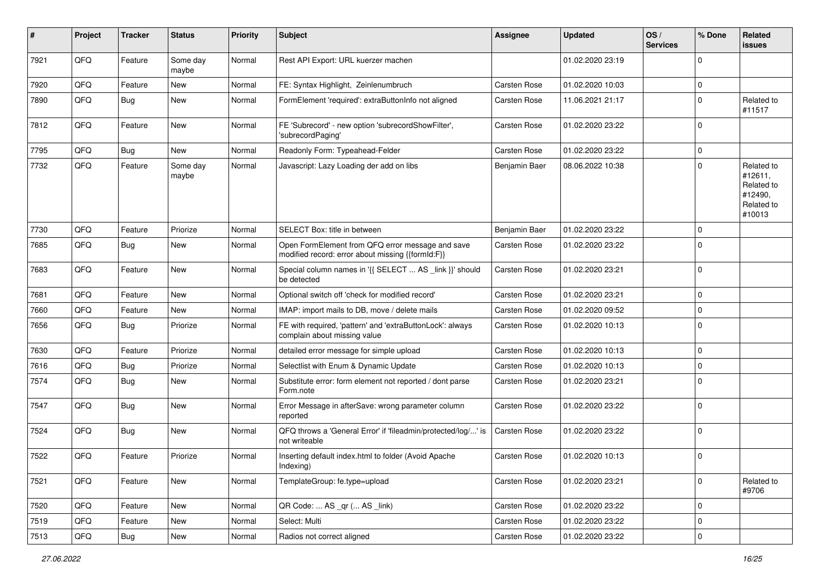| #    | Project | <b>Tracker</b> | <b>Status</b>     | <b>Priority</b> | <b>Subject</b>                                                                                        | Assignee            | <b>Updated</b>   | OS/<br><b>Services</b> | % Done      | Related<br><b>issues</b>                                               |
|------|---------|----------------|-------------------|-----------------|-------------------------------------------------------------------------------------------------------|---------------------|------------------|------------------------|-------------|------------------------------------------------------------------------|
| 7921 | QFQ     | Feature        | Some day<br>maybe | Normal          | Rest API Export: URL kuerzer machen                                                                   |                     | 01.02.2020 23:19 |                        | $\Omega$    |                                                                        |
| 7920 | QFQ     | Feature        | New               | Normal          | FE: Syntax Highlight, Zeinlenumbruch                                                                  | Carsten Rose        | 01.02.2020 10:03 |                        | $\mathbf 0$ |                                                                        |
| 7890 | QFQ     | Bug            | New               | Normal          | FormElement 'required': extraButtonInfo not aligned                                                   | <b>Carsten Rose</b> | 11.06.2021 21:17 |                        | $\Omega$    | Related to<br>#11517                                                   |
| 7812 | QFQ     | Feature        | <b>New</b>        | Normal          | FE 'Subrecord' - new option 'subrecordShowFilter',<br>'subrecordPaging'                               | Carsten Rose        | 01.02.2020 23:22 |                        | $\Omega$    |                                                                        |
| 7795 | QFQ     | Bug            | <b>New</b>        | Normal          | Readonly Form: Typeahead-Felder                                                                       | Carsten Rose        | 01.02.2020 23:22 |                        | $\Omega$    |                                                                        |
| 7732 | QFQ     | Feature        | Some day<br>maybe | Normal          | Javascript: Lazy Loading der add on libs                                                              | Benjamin Baer       | 08.06.2022 10:38 |                        | $\Omega$    | Related to<br>#12611,<br>Related to<br>#12490,<br>Related to<br>#10013 |
| 7730 | QFQ     | Feature        | Priorize          | Normal          | SELECT Box: title in between                                                                          | Benjamin Baer       | 01.02.2020 23:22 |                        | $\Omega$    |                                                                        |
| 7685 | QFQ     | Bug            | New               | Normal          | Open FormElement from QFQ error message and save<br>modified record: error about missing {{formId:F}} | Carsten Rose        | 01.02.2020 23:22 |                        | $\Omega$    |                                                                        |
| 7683 | QFQ     | Feature        | New               | Normal          | Special column names in '{{ SELECT  AS _link }}' should<br>be detected                                | Carsten Rose        | 01.02.2020 23:21 |                        | $\Omega$    |                                                                        |
| 7681 | QFQ     | Feature        | <b>New</b>        | Normal          | Optional switch off 'check for modified record'                                                       | Carsten Rose        | 01.02.2020 23:21 |                        | $\Omega$    |                                                                        |
| 7660 | QFQ     | Feature        | New               | Normal          | IMAP: import mails to DB, move / delete mails                                                         | Carsten Rose        | 01.02.2020 09:52 |                        | $\Omega$    |                                                                        |
| 7656 | QFQ     | Bug            | Priorize          | Normal          | FE with required, 'pattern' and 'extraButtonLock': always<br>complain about missing value             | Carsten Rose        | 01.02.2020 10:13 |                        | $\Omega$    |                                                                        |
| 7630 | QFQ     | Feature        | Priorize          | Normal          | detailed error message for simple upload                                                              | Carsten Rose        | 01.02.2020 10:13 |                        | $\Omega$    |                                                                        |
| 7616 | QFQ     | <b>Bug</b>     | Priorize          | Normal          | Selectlist with Enum & Dynamic Update                                                                 | Carsten Rose        | 01.02.2020 10:13 |                        | $\Omega$    |                                                                        |
| 7574 | QFQ     | Bug            | New               | Normal          | Substitute error: form element not reported / dont parse<br>Form.note                                 | <b>Carsten Rose</b> | 01.02.2020 23:21 |                        | $\Omega$    |                                                                        |
| 7547 | QFQ     | Bug            | <b>New</b>        | Normal          | Error Message in afterSave: wrong parameter column<br>reported                                        | Carsten Rose        | 01.02.2020 23:22 |                        | $\Omega$    |                                                                        |
| 7524 | QFQ     | Bug            | <b>New</b>        | Normal          | QFQ throws a 'General Error' if 'fileadmin/protected/log/' is<br>not writeable                        | Carsten Rose        | 01.02.2020 23:22 |                        | $\Omega$    |                                                                        |
| 7522 | QFQ     | Feature        | Priorize          | Normal          | Inserting default index.html to folder (Avoid Apache<br>Indexing)                                     | Carsten Rose        | 01.02.2020 10:13 |                        | $\mathbf 0$ |                                                                        |
| 7521 | QFQ     | Feature        | New               | Normal          | TemplateGroup: fe.type=upload                                                                         | Carsten Rose        | 01.02.2020 23:21 |                        | 0           | Related to<br>#9706                                                    |
| 7520 | QFQ     | Feature        | New               | Normal          | QR Code:  AS _qr ( AS _link)                                                                          | Carsten Rose        | 01.02.2020 23:22 |                        | 0           |                                                                        |
| 7519 | QFQ     | Feature        | New               | Normal          | Select: Multi                                                                                         | Carsten Rose        | 01.02.2020 23:22 |                        | $\mathbf 0$ |                                                                        |
| 7513 | QFQ     | Bug            | New               | Normal          | Radios not correct aligned                                                                            | Carsten Rose        | 01.02.2020 23:22 |                        | 0           |                                                                        |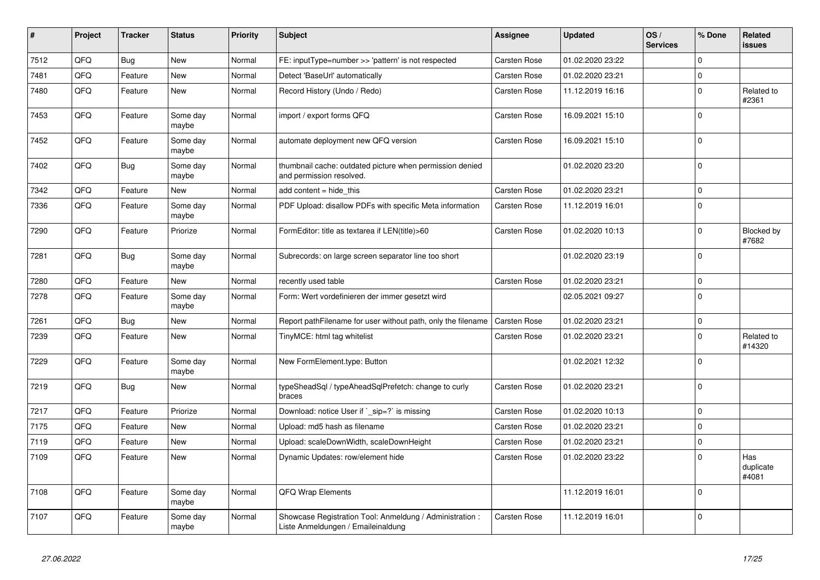| #    | Project | <b>Tracker</b> | <b>Status</b>     | <b>Priority</b> | <b>Subject</b>                                                                                 | Assignee            | <b>Updated</b>   | OS/<br><b>Services</b> | % Done      | <b>Related</b><br><b>issues</b> |
|------|---------|----------------|-------------------|-----------------|------------------------------------------------------------------------------------------------|---------------------|------------------|------------------------|-------------|---------------------------------|
| 7512 | QFQ     | <b>Bug</b>     | <b>New</b>        | Normal          | FE: inputType=number >> 'pattern' is not respected                                             | <b>Carsten Rose</b> | 01.02.2020 23:22 |                        | $\Omega$    |                                 |
| 7481 | QFQ     | Feature        | <b>New</b>        | Normal          | Detect 'BaseUrl' automatically                                                                 | Carsten Rose        | 01.02.2020 23:21 |                        | $\mathbf 0$ |                                 |
| 7480 | QFQ     | Feature        | New               | Normal          | Record History (Undo / Redo)                                                                   | <b>Carsten Rose</b> | 11.12.2019 16:16 |                        | $\mathbf 0$ | Related to<br>#2361             |
| 7453 | QFQ     | Feature        | Some day<br>maybe | Normal          | import / export forms QFQ                                                                      | Carsten Rose        | 16.09.2021 15:10 |                        | $\mathbf 0$ |                                 |
| 7452 | QFQ     | Feature        | Some day<br>maybe | Normal          | automate deployment new QFQ version                                                            | <b>Carsten Rose</b> | 16.09.2021 15:10 |                        | $\mathbf 0$ |                                 |
| 7402 | QFQ     | <b>Bug</b>     | Some day<br>maybe | Normal          | thumbnail cache: outdated picture when permission denied<br>and permission resolved.           |                     | 01.02.2020 23:20 |                        | $\pmb{0}$   |                                 |
| 7342 | QFQ     | Feature        | <b>New</b>        | Normal          | add content $=$ hide this                                                                      | Carsten Rose        | 01.02.2020 23:21 |                        | $\mathbf 0$ |                                 |
| 7336 | QFQ     | Feature        | Some day<br>maybe | Normal          | PDF Upload: disallow PDFs with specific Meta information                                       | Carsten Rose        | 11.12.2019 16:01 |                        | $\mathbf 0$ |                                 |
| 7290 | QFQ     | Feature        | Priorize          | Normal          | FormEditor: title as textarea if LEN(title)>60                                                 | <b>Carsten Rose</b> | 01.02.2020 10:13 |                        | $\Omega$    | <b>Blocked by</b><br>#7682      |
| 7281 | QFQ     | Bug            | Some day<br>maybe | Normal          | Subrecords: on large screen separator line too short                                           |                     | 01.02.2020 23:19 |                        | $\pmb{0}$   |                                 |
| 7280 | QFQ     | Feature        | <b>New</b>        | Normal          | recently used table                                                                            | Carsten Rose        | 01.02.2020 23:21 |                        | $\mathbf 0$ |                                 |
| 7278 | QFQ     | Feature        | Some day<br>maybe | Normal          | Form: Wert vordefinieren der immer gesetzt wird                                                |                     | 02.05.2021 09:27 |                        | $\mathbf 0$ |                                 |
| 7261 | QFQ     | Bug            | <b>New</b>        | Normal          | Report pathFilename for user without path, only the filename                                   | Carsten Rose        | 01.02.2020 23:21 |                        | $\pmb{0}$   |                                 |
| 7239 | QFQ     | Feature        | <b>New</b>        | Normal          | TinyMCE: html tag whitelist                                                                    | <b>Carsten Rose</b> | 01.02.2020 23:21 |                        | $\mathbf 0$ | Related to<br>#14320            |
| 7229 | QFQ     | Feature        | Some day<br>maybe | Normal          | New FormElement.type: Button                                                                   |                     | 01.02.2021 12:32 |                        | $\mathbf 0$ |                                 |
| 7219 | QFQ     | <b>Bug</b>     | New               | Normal          | typeSheadSql / typeAheadSqlPrefetch: change to curly<br>braces                                 | <b>Carsten Rose</b> | 01.02.2020 23:21 |                        | $\mathbf 0$ |                                 |
| 7217 | QFQ     | Feature        | Priorize          | Normal          | Download: notice User if ` sip=?` is missing                                                   | <b>Carsten Rose</b> | 01.02.2020 10:13 |                        | $\mathsf 0$ |                                 |
| 7175 | QFQ     | Feature        | <b>New</b>        | Normal          | Upload: md5 hash as filename                                                                   | Carsten Rose        | 01.02.2020 23:21 |                        | $\mathbf 0$ |                                 |
| 7119 | QFQ     | Feature        | New               | Normal          | Upload: scaleDownWidth, scaleDownHeight                                                        | Carsten Rose        | 01.02.2020 23:21 |                        | $\mathbf 0$ |                                 |
| 7109 | QFQ     | Feature        | <b>New</b>        | Normal          | Dynamic Updates: row/element hide                                                              | <b>Carsten Rose</b> | 01.02.2020 23:22 |                        | $\mathbf 0$ | Has<br>duplicate<br>#4081       |
| 7108 | QFQ     | Feature        | Some day<br>maybe | Normal          | QFQ Wrap Elements                                                                              |                     | 11.12.2019 16:01 |                        | $\mathbf 0$ |                                 |
| 7107 | QFQ     | Feature        | Some day<br>maybe | Normal          | Showcase Registration Tool: Anmeldung / Administration :<br>Liste Anmeldungen / Emaileinaldung | <b>Carsten Rose</b> | 11.12.2019 16:01 |                        | $\mathbf 0$ |                                 |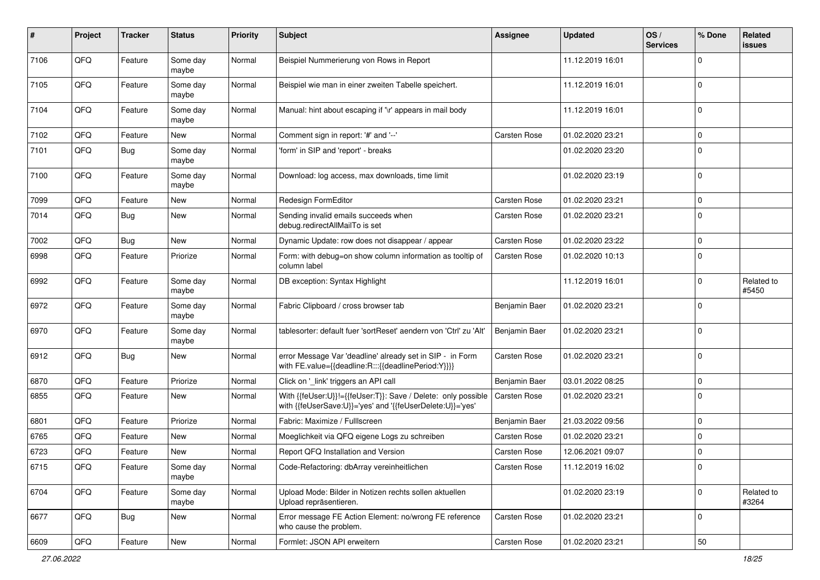| #    | Project | <b>Tracker</b> | <b>Status</b>     | <b>Priority</b> | <b>Subject</b>                                                                                                             | <b>Assignee</b>     | <b>Updated</b>   | OS/<br><b>Services</b> | % Done      | Related<br>issues   |
|------|---------|----------------|-------------------|-----------------|----------------------------------------------------------------------------------------------------------------------------|---------------------|------------------|------------------------|-------------|---------------------|
| 7106 | QFQ     | Feature        | Some day<br>maybe | Normal          | Beispiel Nummerierung von Rows in Report                                                                                   |                     | 11.12.2019 16:01 |                        | $\mathbf 0$ |                     |
| 7105 | QFQ     | Feature        | Some day<br>maybe | Normal          | Beispiel wie man in einer zweiten Tabelle speichert.                                                                       |                     | 11.12.2019 16:01 |                        | $\mathbf 0$ |                     |
| 7104 | QFQ     | Feature        | Some day<br>maybe | Normal          | Manual: hint about escaping if '\r' appears in mail body                                                                   |                     | 11.12.2019 16:01 |                        | $\mathbf 0$ |                     |
| 7102 | QFQ     | Feature        | <b>New</b>        | Normal          | Comment sign in report: '#' and '--'                                                                                       | Carsten Rose        | 01.02.2020 23:21 |                        | $\mathbf 0$ |                     |
| 7101 | QFQ     | Bug            | Some day<br>maybe | Normal          | 'form' in SIP and 'report' - breaks                                                                                        |                     | 01.02.2020 23:20 |                        | $\mathbf 0$ |                     |
| 7100 | QFQ     | Feature        | Some day<br>maybe | Normal          | Download: log access, max downloads, time limit                                                                            |                     | 01.02.2020 23:19 |                        | $\mathbf 0$ |                     |
| 7099 | QFQ     | Feature        | New               | Normal          | Redesign FormEditor                                                                                                        | <b>Carsten Rose</b> | 01.02.2020 23:21 |                        | $\mathbf 0$ |                     |
| 7014 | QFQ     | Bug            | New               | Normal          | Sending invalid emails succeeds when<br>debug.redirectAllMailTo is set                                                     | Carsten Rose        | 01.02.2020 23:21 |                        | $\mathbf 0$ |                     |
| 7002 | QFQ     | <b>Bug</b>     | <b>New</b>        | Normal          | Dynamic Update: row does not disappear / appear                                                                            | Carsten Rose        | 01.02.2020 23:22 |                        | $\mathbf 0$ |                     |
| 6998 | QFQ     | Feature        | Priorize          | Normal          | Form: with debug=on show column information as tooltip of<br>column label                                                  | <b>Carsten Rose</b> | 01.02.2020 10:13 |                        | $\mathbf 0$ |                     |
| 6992 | QFQ     | Feature        | Some day<br>maybe | Normal          | DB exception: Syntax Highlight                                                                                             |                     | 11.12.2019 16:01 |                        | $\mathbf 0$ | Related to<br>#5450 |
| 6972 | QFQ     | Feature        | Some day<br>maybe | Normal          | Fabric Clipboard / cross browser tab                                                                                       | Benjamin Baer       | 01.02.2020 23:21 |                        | $\mathbf 0$ |                     |
| 6970 | QFQ     | Feature        | Some day<br>maybe | Normal          | tablesorter: default fuer 'sortReset' aendern von 'Ctrl' zu 'Alt'                                                          | Benjamin Baer       | 01.02.2020 23:21 |                        | $\mathbf 0$ |                     |
| 6912 | QFQ     | <b>Bug</b>     | <b>New</b>        | Normal          | error Message Var 'deadline' already set in SIP - in Form<br>with FE.value={{deadline:R:::{{deadlinePeriod:Y}}}}           | Carsten Rose        | 01.02.2020 23:21 |                        | $\mathbf 0$ |                     |
| 6870 | QFQ     | Feature        | Priorize          | Normal          | Click on '_link' triggers an API call                                                                                      | Benjamin Baer       | 03.01.2022 08:25 |                        | $\mathbf 0$ |                     |
| 6855 | QFQ     | Feature        | New               | Normal          | With {{feUser:U}}!={{feUser:T}}: Save / Delete: only possible<br>with {{feUserSave:U}}='yes' and '{{feUserDelete:U}}='yes' | <b>Carsten Rose</b> | 01.02.2020 23:21 |                        | $\mathbf 0$ |                     |
| 6801 | QFQ     | Feature        | Priorize          | Normal          | Fabric: Maximize / Fulllscreen                                                                                             | Benjamin Baer       | 21.03.2022 09:56 |                        | $\mathbf 0$ |                     |
| 6765 | QFQ     | Feature        | New               | Normal          | Moeglichkeit via QFQ eigene Logs zu schreiben                                                                              | Carsten Rose        | 01.02.2020 23:21 |                        | $\mathbf 0$ |                     |
| 6723 | QFQ     | Feature        | New               | Normal          | Report QFQ Installation and Version                                                                                        | <b>Carsten Rose</b> | 12.06.2021 09:07 |                        | $\mathbf 0$ |                     |
| 6715 | QFQ     | Feature        | Some day<br>maybe | Normal          | Code-Refactoring: dbArray vereinheitlichen                                                                                 | Carsten Rose        | 11.12.2019 16:02 |                        | 0           |                     |
| 6704 | QFQ     | Feature        | Some day<br>maybe | Normal          | Upload Mode: Bilder in Notizen rechts sollen aktuellen<br>Upload repräsentieren.                                           |                     | 01.02.2020 23:19 |                        | $\mathbf 0$ | Related to<br>#3264 |
| 6677 | QFQ     | <b>Bug</b>     | New               | Normal          | Error message FE Action Element: no/wrong FE reference<br>who cause the problem.                                           | Carsten Rose        | 01.02.2020 23:21 |                        | $\mathbf 0$ |                     |
| 6609 | QFG     | Feature        | New               | Normal          | Formlet: JSON API erweitern                                                                                                | Carsten Rose        | 01.02.2020 23:21 |                        | 50          |                     |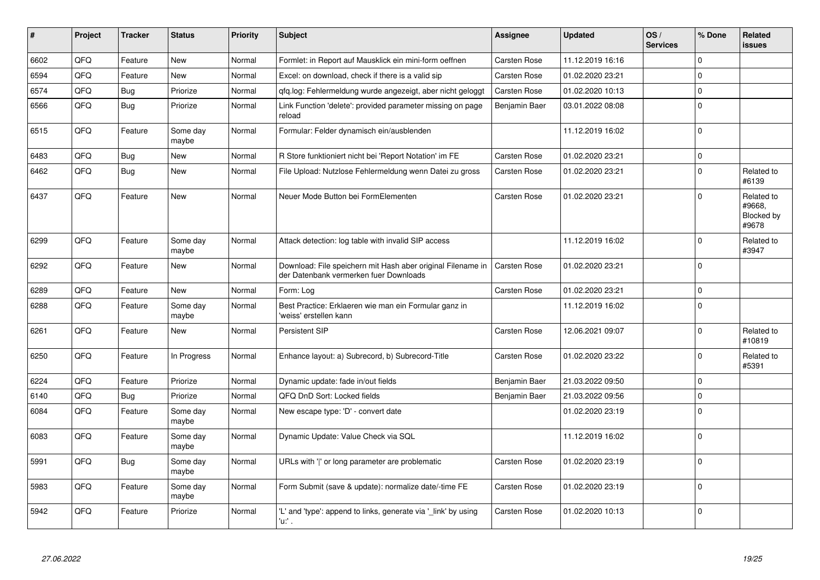| #    | Project | <b>Tracker</b> | <b>Status</b>     | <b>Priority</b> | <b>Subject</b>                                                                                        | Assignee            | <b>Updated</b>   | OS/<br><b>Services</b> | % Done      | Related<br><b>issues</b>                    |
|------|---------|----------------|-------------------|-----------------|-------------------------------------------------------------------------------------------------------|---------------------|------------------|------------------------|-------------|---------------------------------------------|
| 6602 | QFQ     | Feature        | <b>New</b>        | Normal          | Formlet: in Report auf Mausklick ein mini-form oeffnen                                                | Carsten Rose        | 11.12.2019 16:16 |                        | $\mathbf 0$ |                                             |
| 6594 | QFQ     | Feature        | New               | Normal          | Excel: on download, check if there is a valid sip                                                     | Carsten Rose        | 01.02.2020 23:21 |                        | $\mathbf 0$ |                                             |
| 6574 | QFQ     | Bug            | Priorize          | Normal          | qfq.log: Fehlermeldung wurde angezeigt, aber nicht geloggt                                            | Carsten Rose        | 01.02.2020 10:13 |                        | $\pmb{0}$   |                                             |
| 6566 | QFQ     | Bug            | Priorize          | Normal          | Link Function 'delete': provided parameter missing on page<br>reload                                  | Benjamin Baer       | 03.01.2022 08:08 |                        | $\mathbf 0$ |                                             |
| 6515 | QFQ     | Feature        | Some day<br>maybe | Normal          | Formular: Felder dynamisch ein/ausblenden                                                             |                     | 11.12.2019 16:02 |                        | $\mathbf 0$ |                                             |
| 6483 | QFQ     | Bug            | New               | Normal          | R Store funktioniert nicht bei 'Report Notation' im FE                                                | Carsten Rose        | 01.02.2020 23:21 |                        | $\mathbf 0$ |                                             |
| 6462 | QFQ     | <b>Bug</b>     | New               | Normal          | File Upload: Nutzlose Fehlermeldung wenn Datei zu gross                                               | Carsten Rose        | 01.02.2020 23:21 |                        | $\mathbf 0$ | Related to<br>#6139                         |
| 6437 | QFQ     | Feature        | <b>New</b>        | Normal          | Neuer Mode Button bei FormElementen                                                                   | Carsten Rose        | 01.02.2020 23:21 |                        | $\Omega$    | Related to<br>#9668,<br>Blocked by<br>#9678 |
| 6299 | QFQ     | Feature        | Some day<br>maybe | Normal          | Attack detection: log table with invalid SIP access                                                   |                     | 11.12.2019 16:02 |                        | $\Omega$    | Related to<br>#3947                         |
| 6292 | QFQ     | Feature        | <b>New</b>        | Normal          | Download: File speichern mit Hash aber original Filename in<br>der Datenbank vermerken fuer Downloads | <b>Carsten Rose</b> | 01.02.2020 23:21 |                        | $\mathbf 0$ |                                             |
| 6289 | QFQ     | Feature        | <b>New</b>        | Normal          | Form: Log                                                                                             | <b>Carsten Rose</b> | 01.02.2020 23:21 |                        | $\mathbf 0$ |                                             |
| 6288 | QFQ     | Feature        | Some day<br>maybe | Normal          | Best Practice: Erklaeren wie man ein Formular ganz in<br>'weiss' erstellen kann                       |                     | 11.12.2019 16:02 |                        | $\Omega$    |                                             |
| 6261 | QFQ     | Feature        | New               | Normal          | <b>Persistent SIP</b>                                                                                 | Carsten Rose        | 12.06.2021 09:07 |                        | $\Omega$    | Related to<br>#10819                        |
| 6250 | QFQ     | Feature        | In Progress       | Normal          | Enhance layout: a) Subrecord, b) Subrecord-Title                                                      | Carsten Rose        | 01.02.2020 23:22 |                        | $\Omega$    | Related to<br>#5391                         |
| 6224 | QFQ     | Feature        | Priorize          | Normal          | Dynamic update: fade in/out fields                                                                    | Benjamin Baer       | 21.03.2022 09:50 |                        | $\mathbf 0$ |                                             |
| 6140 | QFQ     | Bug            | Priorize          | Normal          | QFQ DnD Sort: Locked fields                                                                           | Benjamin Baer       | 21.03.2022 09:56 |                        | $\pmb{0}$   |                                             |
| 6084 | QFQ     | Feature        | Some day<br>maybe | Normal          | New escape type: 'D' - convert date                                                                   |                     | 01.02.2020 23:19 |                        | $\Omega$    |                                             |
| 6083 | QFQ     | Feature        | Some day<br>maybe | Normal          | Dynamic Update: Value Check via SQL                                                                   |                     | 11.12.2019 16:02 |                        | $\Omega$    |                                             |
| 5991 | QFQ     | Bug            | Some day<br>maybe | Normal          | URLs with ' ' or long parameter are problematic                                                       | <b>Carsten Rose</b> | 01.02.2020 23:19 |                        | $\Omega$    |                                             |
| 5983 | QFQ     | Feature        | Some day<br>maybe | Normal          | Form Submit (save & update): normalize date/-time FE                                                  | Carsten Rose        | 01.02.2020 23:19 |                        | $\mathbf 0$ |                                             |
| 5942 | QFQ     | Feature        | Priorize          | Normal          | 'L' and 'type': append to links, generate via 'link' by using<br>'u: .                                | Carsten Rose        | 01.02.2020 10:13 |                        | $\Omega$    |                                             |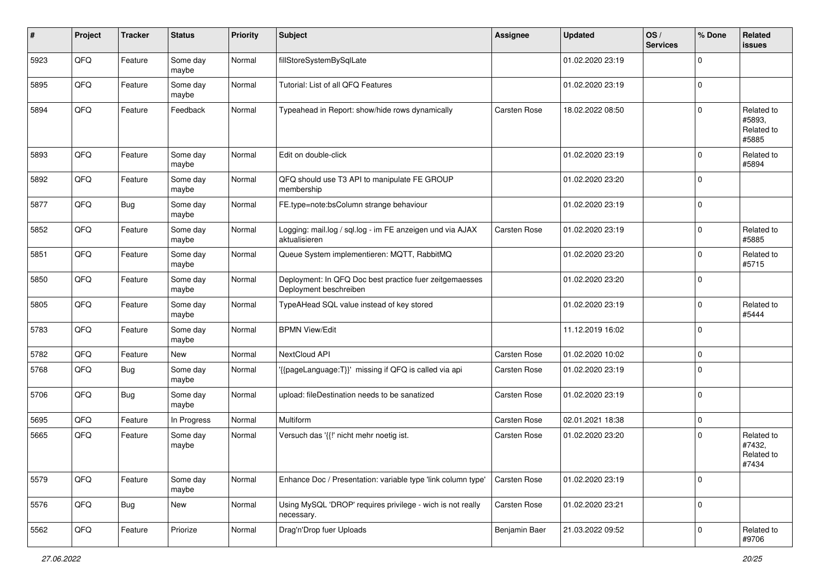| #    | Project | <b>Tracker</b> | <b>Status</b>     | <b>Priority</b> | <b>Subject</b>                                                                    | <b>Assignee</b>     | <b>Updated</b>   | OS/<br><b>Services</b> | % Done      | Related<br>issues                           |
|------|---------|----------------|-------------------|-----------------|-----------------------------------------------------------------------------------|---------------------|------------------|------------------------|-------------|---------------------------------------------|
| 5923 | QFQ     | Feature        | Some day<br>maybe | Normal          | fillStoreSystemBySqlLate                                                          |                     | 01.02.2020 23:19 |                        | $\Omega$    |                                             |
| 5895 | QFQ     | Feature        | Some day<br>maybe | Normal          | Tutorial: List of all QFQ Features                                                |                     | 01.02.2020 23:19 |                        | $\mathbf 0$ |                                             |
| 5894 | QFQ     | Feature        | Feedback          | Normal          | Typeahead in Report: show/hide rows dynamically                                   | Carsten Rose        | 18.02.2022 08:50 |                        | $\Omega$    | Related to<br>#5893,<br>Related to<br>#5885 |
| 5893 | QFQ     | Feature        | Some day<br>maybe | Normal          | Edit on double-click                                                              |                     | 01.02.2020 23:19 |                        | $\Omega$    | Related to<br>#5894                         |
| 5892 | QFQ     | Feature        | Some day<br>maybe | Normal          | QFQ should use T3 API to manipulate FE GROUP<br>membership                        |                     | 01.02.2020 23:20 |                        | $\Omega$    |                                             |
| 5877 | QFQ     | Bug            | Some day<br>maybe | Normal          | FE.type=note:bsColumn strange behaviour                                           |                     | 01.02.2020 23:19 |                        | $\mathbf 0$ |                                             |
| 5852 | QFQ     | Feature        | Some day<br>maybe | Normal          | Logging: mail.log / sql.log - im FE anzeigen und via AJAX<br>aktualisieren        | <b>Carsten Rose</b> | 01.02.2020 23:19 |                        | $\Omega$    | Related to<br>#5885                         |
| 5851 | QFQ     | Feature        | Some day<br>maybe | Normal          | Queue System implementieren: MQTT, RabbitMQ                                       |                     | 01.02.2020 23:20 |                        | $\mathbf 0$ | Related to<br>#5715                         |
| 5850 | QFQ     | Feature        | Some day<br>maybe | Normal          | Deployment: In QFQ Doc best practice fuer zeitgemaesses<br>Deployment beschreiben |                     | 01.02.2020 23:20 |                        | $\Omega$    |                                             |
| 5805 | QFQ     | Feature        | Some day<br>maybe | Normal          | TypeAHead SQL value instead of key stored                                         |                     | 01.02.2020 23:19 |                        | $\mathbf 0$ | Related to<br>#5444                         |
| 5783 | QFQ     | Feature        | Some day<br>maybe | Normal          | <b>BPMN View/Edit</b>                                                             |                     | 11.12.2019 16:02 |                        | $\mathbf 0$ |                                             |
| 5782 | QFQ     | Feature        | New               | Normal          | NextCloud API                                                                     | Carsten Rose        | 01.02.2020 10:02 |                        | $\mathbf 0$ |                                             |
| 5768 | QFQ     | <b>Bug</b>     | Some day<br>maybe | Normal          | '{{pageLanguage:T}}' missing if QFQ is called via api                             | <b>Carsten Rose</b> | 01.02.2020 23:19 |                        | $\Omega$    |                                             |
| 5706 | QFQ     | Bug            | Some day<br>maybe | Normal          | upload: fileDestination needs to be sanatized                                     | Carsten Rose        | 01.02.2020 23:19 |                        | $\mathbf 0$ |                                             |
| 5695 | QFQ     | Feature        | In Progress       | Normal          | <b>Multiform</b>                                                                  | Carsten Rose        | 02.01.2021 18:38 |                        | $\mathbf 0$ |                                             |
| 5665 | QFQ     | Feature        | Some day<br>maybe | Normal          | Versuch das '{{!' nicht mehr noetig ist.                                          | <b>Carsten Rose</b> | 01.02.2020 23:20 |                        | $\mathbf 0$ | Related to<br>#7432,<br>Related to<br>#7434 |
| 5579 | QFQ     | Feature        | Some day<br>maybe | Normal          | Enhance Doc / Presentation: variable type 'link column type'                      | Carsten Rose        | 01.02.2020 23:19 |                        | $\mathbf 0$ |                                             |
| 5576 | QFQ     | <b>Bug</b>     | New               | Normal          | Using MySQL 'DROP' requires privilege - wich is not really<br>necessary.          | Carsten Rose        | 01.02.2020 23:21 |                        | $\mathbf 0$ |                                             |
| 5562 | QFQ     | Feature        | Priorize          | Normal          | Drag'n'Drop fuer Uploads                                                          | Benjamin Baer       | 21.03.2022 09:52 |                        | $\mathbf 0$ | Related to<br>#9706                         |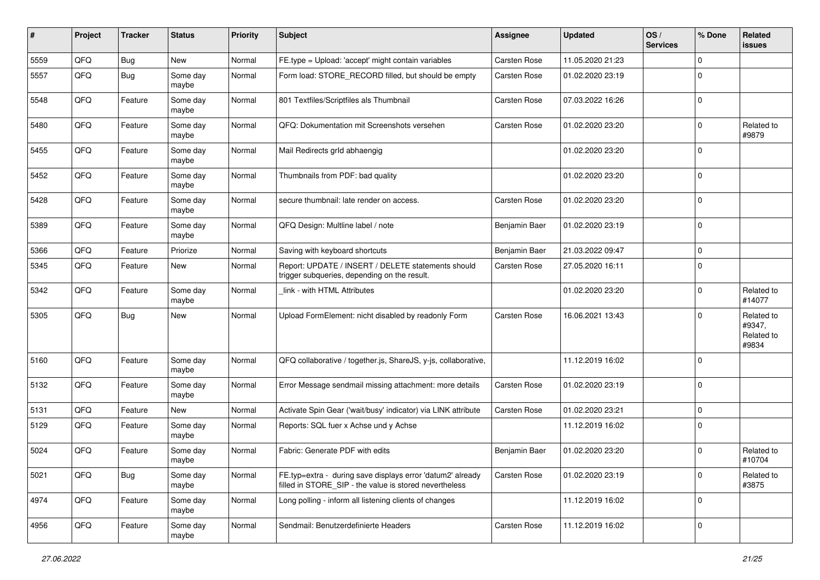| ∦    | Project | <b>Tracker</b> | <b>Status</b>     | <b>Priority</b> | Subject                                                                                                              | <b>Assignee</b>     | <b>Updated</b>   | OS/<br><b>Services</b> | % Done      | Related<br><b>issues</b>                    |
|------|---------|----------------|-------------------|-----------------|----------------------------------------------------------------------------------------------------------------------|---------------------|------------------|------------------------|-------------|---------------------------------------------|
| 5559 | QFQ     | Bug            | New               | Normal          | FE.type = Upload: 'accept' might contain variables                                                                   | <b>Carsten Rose</b> | 11.05.2020 21:23 |                        | $\mathbf 0$ |                                             |
| 5557 | QFQ     | Bug            | Some day<br>maybe | Normal          | Form load: STORE_RECORD filled, but should be empty                                                                  | Carsten Rose        | 01.02.2020 23:19 |                        | 0           |                                             |
| 5548 | QFQ     | Feature        | Some day<br>maybe | Normal          | 801 Textfiles/Scriptfiles als Thumbnail                                                                              | Carsten Rose        | 07.03.2022 16:26 |                        | $\mathbf 0$ |                                             |
| 5480 | QFQ     | Feature        | Some day<br>maybe | Normal          | QFQ: Dokumentation mit Screenshots versehen                                                                          | Carsten Rose        | 01.02.2020 23:20 |                        | $\mathbf 0$ | Related to<br>#9879                         |
| 5455 | QFQ     | Feature        | Some day<br>maybe | Normal          | Mail Redirects grld abhaengig                                                                                        |                     | 01.02.2020 23:20 |                        | $\Omega$    |                                             |
| 5452 | QFQ     | Feature        | Some day<br>maybe | Normal          | Thumbnails from PDF: bad quality                                                                                     |                     | 01.02.2020 23:20 |                        | $\mathbf 0$ |                                             |
| 5428 | QFQ     | Feature        | Some day<br>maybe | Normal          | secure thumbnail: late render on access.                                                                             | <b>Carsten Rose</b> | 01.02.2020 23:20 |                        | $\mathbf 0$ |                                             |
| 5389 | QFQ     | Feature        | Some day<br>maybe | Normal          | QFQ Design: Multline label / note                                                                                    | Benjamin Baer       | 01.02.2020 23:19 |                        | $\mathbf 0$ |                                             |
| 5366 | QFQ     | Feature        | Priorize          | Normal          | Saving with keyboard shortcuts                                                                                       | Benjamin Baer       | 21.03.2022 09:47 |                        | $\mathbf 0$ |                                             |
| 5345 | QFQ     | Feature        | New               | Normal          | Report: UPDATE / INSERT / DELETE statements should<br>trigger subgueries, depending on the result.                   | Carsten Rose        | 27.05.2020 16:11 |                        | $\mathbf 0$ |                                             |
| 5342 | QFQ     | Feature        | Some day<br>maybe | Normal          | link - with HTML Attributes                                                                                          |                     | 01.02.2020 23:20 |                        | $\Omega$    | Related to<br>#14077                        |
| 5305 | QFQ     | <b>Bug</b>     | New               | Normal          | Upload FormElement: nicht disabled by readonly Form                                                                  | <b>Carsten Rose</b> | 16.06.2021 13:43 |                        | $\mathbf 0$ | Related to<br>#9347,<br>Related to<br>#9834 |
| 5160 | QFQ     | Feature        | Some day<br>maybe | Normal          | QFQ collaborative / together.js, ShareJS, y-js, collaborative,                                                       |                     | 11.12.2019 16:02 |                        | $\Omega$    |                                             |
| 5132 | QFQ     | Feature        | Some day<br>maybe | Normal          | Error Message sendmail missing attachment: more details                                                              | Carsten Rose        | 01.02.2020 23:19 |                        | $\mathbf 0$ |                                             |
| 5131 | QFQ     | Feature        | <b>New</b>        | Normal          | Activate Spin Gear ('wait/busy' indicator) via LINK attribute                                                        | <b>Carsten Rose</b> | 01.02.2020 23:21 |                        | $\mathbf 0$ |                                             |
| 5129 | QFQ     | Feature        | Some day<br>maybe | Normal          | Reports: SQL fuer x Achse und y Achse                                                                                |                     | 11.12.2019 16:02 |                        | 0           |                                             |
| 5024 | QFQ     | Feature        | Some day<br>maybe | Normal          | Fabric: Generate PDF with edits                                                                                      | Benjamin Baer       | 01.02.2020 23:20 |                        | $\mathbf 0$ | Related to<br>#10704                        |
| 5021 | QFQ     | Bug            | Some day<br>maybe | Normal          | FE.typ=extra - during save displays error 'datum2' already<br>filled in STORE SIP - the value is stored nevertheless | Carsten Rose        | 01.02.2020 23:19 |                        | $\mathbf 0$ | Related to<br>#3875                         |
| 4974 | QFQ     | Feature        | Some day<br>maybe | Normal          | Long polling - inform all listening clients of changes                                                               |                     | 11.12.2019 16:02 |                        | $\mathbf 0$ |                                             |
| 4956 | QFQ     | Feature        | Some day<br>maybe | Normal          | Sendmail: Benutzerdefinierte Headers                                                                                 | Carsten Rose        | 11.12.2019 16:02 |                        | $\mathbf 0$ |                                             |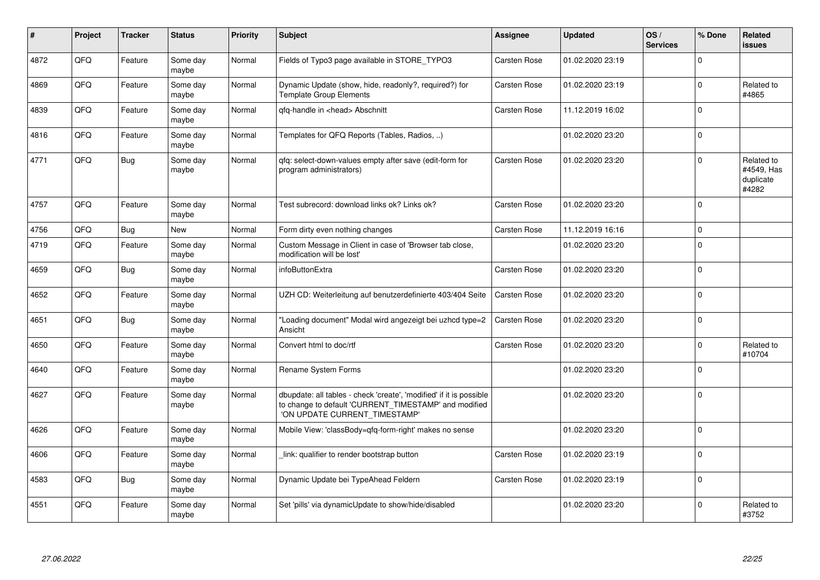| ∦    | Project | <b>Tracker</b> | <b>Status</b>     | <b>Priority</b> | <b>Subject</b>                                                                                                                                                | Assignee            | <b>Updated</b>   | OS/<br><b>Services</b> | % Done      | Related<br><b>issues</b>                       |
|------|---------|----------------|-------------------|-----------------|---------------------------------------------------------------------------------------------------------------------------------------------------------------|---------------------|------------------|------------------------|-------------|------------------------------------------------|
| 4872 | QFQ     | Feature        | Some day<br>maybe | Normal          | Fields of Typo3 page available in STORE_TYPO3                                                                                                                 | Carsten Rose        | 01.02.2020 23:19 |                        | $\Omega$    |                                                |
| 4869 | QFQ     | Feature        | Some day<br>maybe | Normal          | Dynamic Update (show, hide, readonly?, required?) for<br><b>Template Group Elements</b>                                                                       | <b>Carsten Rose</b> | 01.02.2020 23:19 |                        | $\mathbf 0$ | Related to<br>#4865                            |
| 4839 | QFQ     | Feature        | Some day<br>maybe | Normal          | qfq-handle in <head> Abschnitt</head>                                                                                                                         | Carsten Rose        | 11.12.2019 16:02 |                        | $\mathbf 0$ |                                                |
| 4816 | QFQ     | Feature        | Some day<br>maybe | Normal          | Templates for QFQ Reports (Tables, Radios, )                                                                                                                  |                     | 01.02.2020 23:20 |                        | $\mathbf 0$ |                                                |
| 4771 | QFQ     | <b>Bug</b>     | Some day<br>maybe | Normal          | qfq: select-down-values empty after save (edit-form for<br>program administrators)                                                                            | <b>Carsten Rose</b> | 01.02.2020 23:20 |                        | $\Omega$    | Related to<br>#4549, Has<br>duplicate<br>#4282 |
| 4757 | QFQ     | Feature        | Some day<br>maybe | Normal          | Test subrecord: download links ok? Links ok?                                                                                                                  | <b>Carsten Rose</b> | 01.02.2020 23:20 |                        | $\mathbf 0$ |                                                |
| 4756 | QFQ     | Bug            | <b>New</b>        | Normal          | Form dirty even nothing changes                                                                                                                               | <b>Carsten Rose</b> | 11.12.2019 16:16 |                        | $\mathbf 0$ |                                                |
| 4719 | QFQ     | Feature        | Some day<br>maybe | Normal          | Custom Message in Client in case of 'Browser tab close,<br>modification will be lost'                                                                         |                     | 01.02.2020 23:20 |                        | $\mathbf 0$ |                                                |
| 4659 | QFQ     | Bug            | Some day<br>maybe | Normal          | infoButtonExtra                                                                                                                                               | <b>Carsten Rose</b> | 01.02.2020 23:20 |                        | $\Omega$    |                                                |
| 4652 | QFQ     | Feature        | Some day<br>maybe | Normal          | UZH CD: Weiterleitung auf benutzerdefinierte 403/404 Seite                                                                                                    | Carsten Rose        | 01.02.2020 23:20 |                        | $\mathbf 0$ |                                                |
| 4651 | QFQ     | <b>Bug</b>     | Some day<br>maybe | Normal          | 'Loading document" Modal wird angezeigt bei uzhcd type=2<br>Ansicht                                                                                           | Carsten Rose        | 01.02.2020 23:20 |                        | $\mathbf 0$ |                                                |
| 4650 | QFQ     | Feature        | Some day<br>maybe | Normal          | Convert html to doc/rtf                                                                                                                                       | Carsten Rose        | 01.02.2020 23:20 |                        | $\mathbf 0$ | Related to<br>#10704                           |
| 4640 | QFQ     | Feature        | Some day<br>maybe | Normal          | Rename System Forms                                                                                                                                           |                     | 01.02.2020 23:20 |                        | $\mathbf 0$ |                                                |
| 4627 | QFQ     | Feature        | Some day<br>maybe | Normal          | dbupdate: all tables - check 'create', 'modified' if it is possible<br>to change to default 'CURRENT_TIMESTAMP' and modified<br>'ON UPDATE CURRENT_TIMESTAMP' |                     | 01.02.2020 23:20 |                        | $\mathbf 0$ |                                                |
| 4626 | QFQ     | Feature        | Some day<br>maybe | Normal          | Mobile View: 'classBody=qfq-form-right' makes no sense                                                                                                        |                     | 01.02.2020 23:20 |                        | $\mathbf 0$ |                                                |
| 4606 | QFQ     | Feature        | Some day<br>maybe | Normal          | link: qualifier to render bootstrap button                                                                                                                    | Carsten Rose        | 01.02.2020 23:19 |                        | $\mathbf 0$ |                                                |
| 4583 | QFQ     | Bug            | Some day<br>maybe | Normal          | Dynamic Update bei TypeAhead Feldern                                                                                                                          | Carsten Rose        | 01.02.2020 23:19 |                        | $\mathbf 0$ |                                                |
| 4551 | QFQ     | Feature        | Some day<br>maybe | Normal          | Set 'pills' via dynamicUpdate to show/hide/disabled                                                                                                           |                     | 01.02.2020 23:20 |                        | $\mathbf 0$ | Related to<br>#3752                            |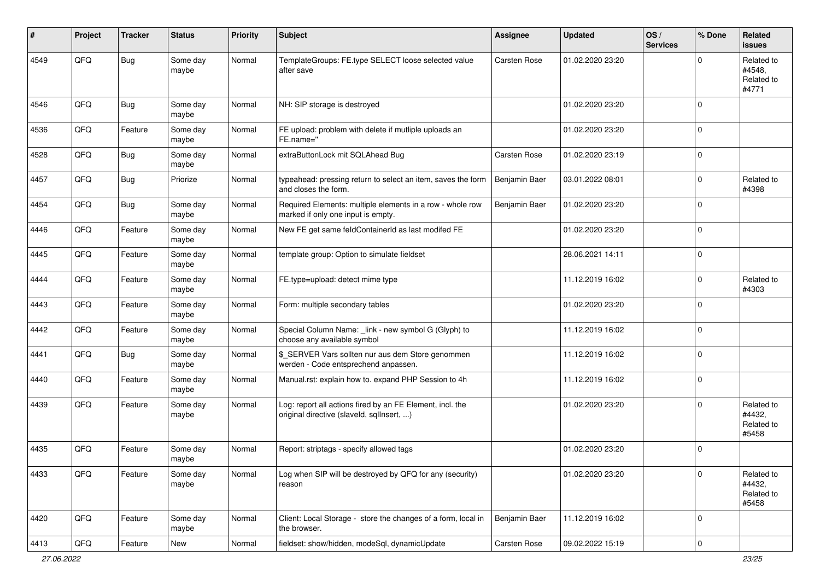| ∦    | Project | <b>Tracker</b> | <b>Status</b>     | <b>Priority</b> | Subject                                                                                                | <b>Assignee</b>     | <b>Updated</b>   | OS/<br><b>Services</b> | % Done      | Related<br><b>issues</b>                    |
|------|---------|----------------|-------------------|-----------------|--------------------------------------------------------------------------------------------------------|---------------------|------------------|------------------------|-------------|---------------------------------------------|
| 4549 | QFQ     | <b>Bug</b>     | Some day<br>maybe | Normal          | TemplateGroups: FE.type SELECT loose selected value<br>after save                                      | Carsten Rose        | 01.02.2020 23:20 |                        | $\mathbf 0$ | Related to<br>#4548,<br>Related to<br>#4771 |
| 4546 | QFQ     | <b>Bug</b>     | Some day<br>maybe | Normal          | NH: SIP storage is destroyed                                                                           |                     | 01.02.2020 23:20 |                        | $\mathbf 0$ |                                             |
| 4536 | QFQ     | Feature        | Some day<br>maybe | Normal          | FE upload: problem with delete if mutliple uploads an<br>FE.name="                                     |                     | 01.02.2020 23:20 |                        | $\mathbf 0$ |                                             |
| 4528 | QFQ     | Bug            | Some day<br>maybe | Normal          | extraButtonLock mit SQLAhead Bug                                                                       | <b>Carsten Rose</b> | 01.02.2020 23:19 |                        | $\mathbf 0$ |                                             |
| 4457 | QFQ     | Bug            | Priorize          | Normal          | typeahead: pressing return to select an item, saves the form<br>and closes the form.                   | Benjamin Baer       | 03.01.2022 08:01 |                        | $\mathbf 0$ | Related to<br>#4398                         |
| 4454 | QFQ     | Bug            | Some day<br>maybe | Normal          | Required Elements: multiple elements in a row - whole row<br>marked if only one input is empty.        | Benjamin Baer       | 01.02.2020 23:20 |                        | $\mathbf 0$ |                                             |
| 4446 | QFQ     | Feature        | Some day<br>maybe | Normal          | New FE get same feldContainerId as last modifed FE                                                     |                     | 01.02.2020 23:20 |                        | $\mathbf 0$ |                                             |
| 4445 | QFQ     | Feature        | Some day<br>maybe | Normal          | template group: Option to simulate fieldset                                                            |                     | 28.06.2021 14:11 |                        | $\mathbf 0$ |                                             |
| 4444 | QFQ     | Feature        | Some day<br>maybe | Normal          | FE.type=upload: detect mime type                                                                       |                     | 11.12.2019 16:02 |                        | $\mathbf 0$ | Related to<br>#4303                         |
| 4443 | QFQ     | Feature        | Some day<br>maybe | Normal          | Form: multiple secondary tables                                                                        |                     | 01.02.2020 23:20 |                        | $\mathbf 0$ |                                             |
| 4442 | QFQ     | Feature        | Some day<br>maybe | Normal          | Special Column Name: _link - new symbol G (Glyph) to<br>choose any available symbol                    |                     | 11.12.2019 16:02 |                        | $\mathbf 0$ |                                             |
| 4441 | QFQ     | Bug            | Some day<br>maybe | Normal          | \$_SERVER Vars sollten nur aus dem Store genommen<br>werden - Code entsprechend anpassen.              |                     | 11.12.2019 16:02 |                        | $\mathbf 0$ |                                             |
| 4440 | QFQ     | Feature        | Some day<br>maybe | Normal          | Manual.rst: explain how to. expand PHP Session to 4h                                                   |                     | 11.12.2019 16:02 |                        | $\mathbf 0$ |                                             |
| 4439 | QFQ     | Feature        | Some day<br>maybe | Normal          | Log: report all actions fired by an FE Element, incl. the<br>original directive (slaveld, sqllnsert, ) |                     | 01.02.2020 23:20 |                        | $\mathbf 0$ | Related to<br>#4432,<br>Related to<br>#5458 |
| 4435 | QFQ     | Feature        | Some day<br>maybe | Normal          | Report: striptags - specify allowed tags                                                               |                     | 01.02.2020 23:20 |                        | $\mathbf 0$ |                                             |
| 4433 | QFQ     | Feature        | Some day<br>maybe | Normal          | Log when SIP will be destroyed by QFQ for any (security)<br>reason                                     |                     | 01.02.2020 23:20 |                        | $\mathbf 0$ | Related to<br>#4432,<br>Related to<br>#5458 |
| 4420 | QFQ     | Feature        | Some day<br>maybe | Normal          | Client: Local Storage - store the changes of a form, local in<br>the browser.                          | Benjamin Baer       | 11.12.2019 16:02 |                        | $\mathbf 0$ |                                             |
| 4413 | QFQ     | Feature        | New               | Normal          | fieldset: show/hidden, modeSql, dynamicUpdate                                                          | <b>Carsten Rose</b> | 09.02.2022 15:19 |                        | 0           |                                             |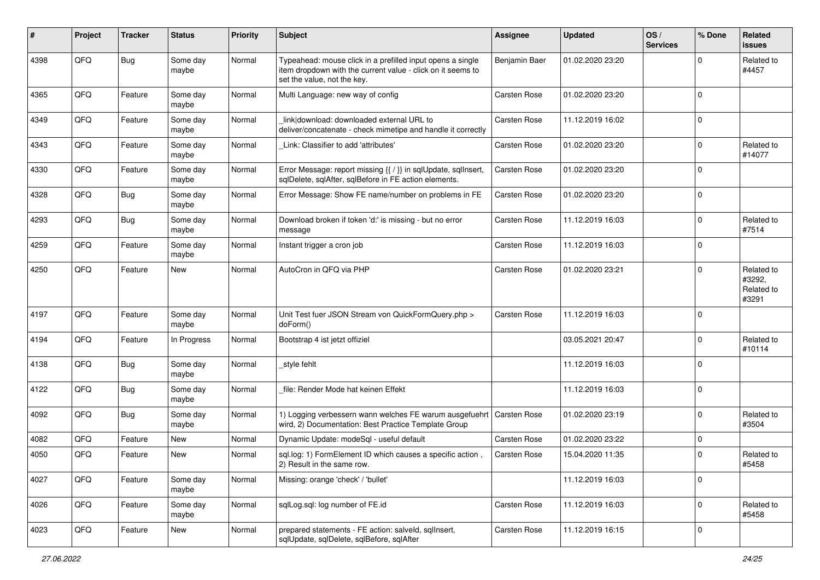| #    | Project | <b>Tracker</b> | <b>Status</b>     | <b>Priority</b> | <b>Subject</b>                                                                                                                                           | Assignee            | <b>Updated</b>   | OS/<br><b>Services</b> | % Done      | Related<br><b>issues</b>                    |
|------|---------|----------------|-------------------|-----------------|----------------------------------------------------------------------------------------------------------------------------------------------------------|---------------------|------------------|------------------------|-------------|---------------------------------------------|
| 4398 | QFQ     | Bug            | Some day<br>maybe | Normal          | Typeahead: mouse click in a prefilled input opens a single<br>item dropdown with the current value - click on it seems to<br>set the value, not the key. | Benjamin Baer       | 01.02.2020 23:20 |                        | $\Omega$    | Related to<br>#4457                         |
| 4365 | QFQ     | Feature        | Some day<br>maybe | Normal          | Multi Language: new way of config                                                                                                                        | Carsten Rose        | 01.02.2020 23:20 |                        | $\Omega$    |                                             |
| 4349 | QFQ     | Feature        | Some day<br>maybe | Normal          | link download: downloaded external URL to<br>deliver/concatenate - check mimetipe and handle it correctly                                                | Carsten Rose        | 11.12.2019 16:02 |                        | $\pmb{0}$   |                                             |
| 4343 | QFQ     | Feature        | Some dav<br>maybe | Normal          | Link: Classifier to add 'attributes'                                                                                                                     | Carsten Rose        | 01.02.2020 23:20 |                        | $\mathbf 0$ | Related to<br>#14077                        |
| 4330 | QFQ     | Feature        | Some day<br>maybe | Normal          | Error Message: report missing {{ / }} in sqlUpdate, sqlInsert,<br>sqlDelete, sqlAfter, sqlBefore in FE action elements.                                  | <b>Carsten Rose</b> | 01.02.2020 23:20 |                        | $\Omega$    |                                             |
| 4328 | QFQ     | Bug            | Some day<br>maybe | Normal          | Error Message: Show FE name/number on problems in FE                                                                                                     | Carsten Rose        | 01.02.2020 23:20 |                        | $\mathbf 0$ |                                             |
| 4293 | QFQ     | Bug            | Some day<br>maybe | Normal          | Download broken if token 'd:' is missing - but no error<br>message                                                                                       | Carsten Rose        | 11.12.2019 16:03 |                        | $\mathbf 0$ | Related to<br>#7514                         |
| 4259 | QFQ     | Feature        | Some day<br>maybe | Normal          | Instant trigger a cron job                                                                                                                               | <b>Carsten Rose</b> | 11.12.2019 16:03 |                        | $\mathbf 0$ |                                             |
| 4250 | QFQ     | Feature        | New               | Normal          | AutoCron in QFQ via PHP                                                                                                                                  | Carsten Rose        | 01.02.2020 23:21 |                        | $\Omega$    | Related to<br>#3292,<br>Related to<br>#3291 |
| 4197 | QFQ     | Feature        | Some day<br>maybe | Normal          | Unit Test fuer JSON Stream von QuickFormQuery.php ><br>doForm()                                                                                          | Carsten Rose        | 11.12.2019 16:03 |                        | $\Omega$    |                                             |
| 4194 | QFQ     | Feature        | In Progress       | Normal          | Bootstrap 4 ist jetzt offiziel                                                                                                                           |                     | 03.05.2021 20:47 |                        | $\mathbf 0$ | Related to<br>#10114                        |
| 4138 | QFQ     | Bug            | Some day<br>maybe | Normal          | _style fehlt                                                                                                                                             |                     | 11.12.2019 16:03 |                        | $\mathbf 0$ |                                             |
| 4122 | QFQ     | Bug            | Some day<br>maybe | Normal          | file: Render Mode hat keinen Effekt                                                                                                                      |                     | 11.12.2019 16:03 |                        | $\mathbf 0$ |                                             |
| 4092 | QFQ     | Bug            | Some day<br>maybe | Normal          | 1) Logging verbessern wann welches FE warum ausgefuehrt   Carsten Rose<br>wird, 2) Documentation: Best Practice Template Group                           |                     | 01.02.2020 23:19 |                        | $\mathbf 0$ | Related to<br>#3504                         |
| 4082 | QFQ     | Feature        | <b>New</b>        | Normal          | Dynamic Update: modeSql - useful default                                                                                                                 | <b>Carsten Rose</b> | 01.02.2020 23:22 |                        | $\mathbf 0$ |                                             |
| 4050 | QFQ     | Feature        | New               | Normal          | sql.log: 1) FormElement ID which causes a specific action,<br>2) Result in the same row.                                                                 | <b>Carsten Rose</b> | 15.04.2020 11:35 |                        | $\mathbf 0$ | Related to<br>#5458                         |
| 4027 | QFQ     | Feature        | Some day<br>maybe | Normal          | Missing: orange 'check' / 'bullet'                                                                                                                       |                     | 11.12.2019 16:03 |                        | $\mathbf 0$ |                                             |
| 4026 | QFQ     | Feature        | Some day<br>maybe | Normal          | sqlLog.sql: log number of FE.id                                                                                                                          | Carsten Rose        | 11.12.2019 16:03 |                        | $\mathbf 0$ | Related to<br>#5458                         |
| 4023 | QFQ     | Feature        | New               | Normal          | prepared statements - FE action: salveld, sqllnsert,<br>sqlUpdate, sqlDelete, sqlBefore, sqlAfter                                                        | Carsten Rose        | 11.12.2019 16:15 |                        | $\pmb{0}$   |                                             |